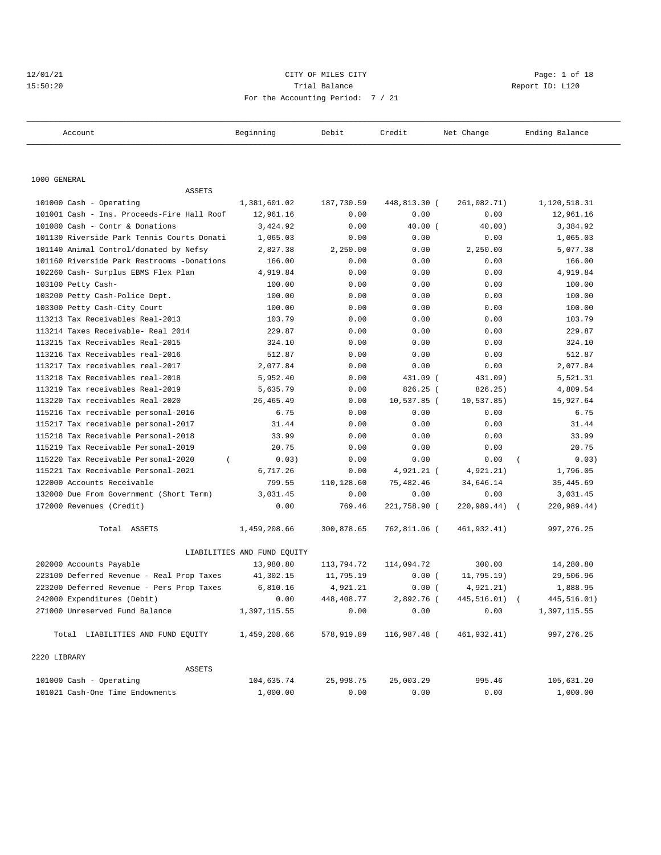# 12/01/21 CITY OF MILES CITY CHARGES CITY CONTROLLER Page: 1 of 18 15:50:20 Trial Balance Report ID: L120 For the Accounting Period: 7 / 21

| Account                                    | Beginning                   | Debit      | Credit       | Net Change       | Ending Balance    |
|--------------------------------------------|-----------------------------|------------|--------------|------------------|-------------------|
|                                            |                             |            |              |                  |                   |
| 1000 GENERAL                               |                             |            |              |                  |                   |
| ASSETS                                     |                             |            |              |                  |                   |
| 101000 Cash - Operating                    | 1,381,601.02                | 187,730.59 | 448,813.30 ( | 261,082.71)      | 1,120,518.31      |
| 101001 Cash - Ins. Proceeds-Fire Hall Roof | 12,961.16                   | 0.00       | 0.00         | 0.00             | 12,961.16         |
| 101080 Cash - Contr & Donations            | 3,424.92                    | 0.00       | 40.00(       | 40.00)           | 3,384.92          |
| 101130 Riverside Park Tennis Courts Donati | 1,065.03                    | 0.00       | 0.00         | 0.00             | 1,065.03          |
| 101140 Animal Control/donated by Nefsy     | 2,827.38                    | 2,250.00   | 0.00         | 2,250.00         | 5,077.38          |
| 101160 Riverside Park Restrooms -Donations | 166.00                      | 0.00       | 0.00         | 0.00             | 166.00            |
| 102260 Cash- Surplus EBMS Flex Plan        | 4,919.84                    | 0.00       | 0.00         | 0.00             | 4,919.84          |
| 103100 Petty Cash-                         | 100.00                      | 0.00       | 0.00         | 0.00             | 100.00            |
| 103200 Petty Cash-Police Dept.             | 100.00                      | 0.00       | 0.00         | 0.00             | 100.00            |
| 103300 Petty Cash-City Court               | 100.00                      | 0.00       | 0.00         | 0.00             | 100.00            |
| 113213 Tax Receivables Real-2013           | 103.79                      | 0.00       | 0.00         | 0.00             | 103.79            |
| 113214 Taxes Receivable- Real 2014         | 229.87                      | 0.00       | 0.00         | 0.00             | 229.87            |
| 113215 Tax Receivables Real-2015           | 324.10                      | 0.00       | 0.00         | 0.00             | 324.10            |
| 113216 Tax Receivables real-2016           | 512.87                      | 0.00       | 0.00         | 0.00             | 512.87            |
| 113217 Tax receivables real-2017           | 2,077.84                    | 0.00       | 0.00         | 0.00             | 2,077.84          |
| 113218 Tax Receivables real-2018           | 5,952.40                    | 0.00       | 431.09 (     | 431.09)          | 5,521.31          |
| 113219 Tax receivables Real-2019           | 5,635.79                    | 0.00       | 826.25 (     | 826.25)          | 4,809.54          |
| 113220 Tax receivables Real-2020           | 26, 465.49                  | 0.00       | 10,537.85 (  | 10,537.85)       | 15,927.64         |
| 115216 Tax receivable personal-2016        | 6.75                        | 0.00       | 0.00         | 0.00             | 6.75              |
| 115217 Tax receivable personal-2017        | 31.44                       | 0.00       | 0.00         | 0.00             | 31.44             |
| 115218 Tax Receivable Personal-2018        | 33.99                       | 0.00       | 0.00         | 0.00             | 33.99             |
| 115219 Tax Receivable Personal-2019        | 20.75                       | 0.00       | 0.00         | 0.00             | 20.75             |
| 115220 Tax Receivable Personal-2020        | 0.03)                       | 0.00       | 0.00         | 0.00             | 0.03)<br>$\left($ |
| 115221 Tax Receivable Personal-2021        | 6,717.26                    | 0.00       | 4,921.21 (   | 4,921.21)        | 1,796.05          |
| 122000 Accounts Receivable                 | 799.55                      | 110,128.60 | 75,482.46    | 34,646.14        | 35,445.69         |
| 132000 Due From Government (Short Term)    | 3,031.45                    | 0.00       | 0.00         | 0.00             | 3,031.45          |
| 172000 Revenues (Credit)                   | 0.00                        | 769.46     | 221,758.90 ( | $220,989.44$ ) ( | 220,989.44)       |
| Total ASSETS                               | 1,459,208.66                | 300,878.65 | 762,811.06 ( | 461,932.41)      | 997, 276.25       |
|                                            | LIABILITIES AND FUND EQUITY |            |              |                  |                   |
| 202000 Accounts Payable                    | 13,980.80                   | 113,794.72 | 114,094.72   | 300.00           | 14,280.80         |
| 223100 Deferred Revenue - Real Prop Taxes  | 41,302.15                   | 11,795.19  | 0.00(        | 11,795.19)       | 29,506.96         |
| 223200 Deferred Revenue - Pers Prop Taxes  | 6,810.16                    | 4,921.21   | 0.00(        | 4,921.21)        | 1,888.95          |
| 242000 Expenditures (Debit)                | 0.00                        | 448,408.77 | 2,892.76 (   | 445,516.01) (    | 445,516.01)       |
| 271000 Unreserved Fund Balance             | 1,397,115.55                | 0.00       | 0.00         | 0.00             | 1,397,115.55      |
| Total LIABILITIES AND FUND EQUITY          | 1,459,208.66                | 578,919.89 | 116,987.48 ( | 461,932.41)      | 997, 276.25       |
| 2220 LIBRARY                               |                             |            |              |                  |                   |
| <b>ASSETS</b>                              |                             |            |              |                  |                   |
| 101000 Cash - Operating                    | 104,635.74                  | 25,998.75  | 25,003.29    | 995.46           | 105,631.20        |
| 101021 Cash-One Time Endowments            | 1,000.00                    | 0.00       | 0.00         | 0.00             | 1,000.00          |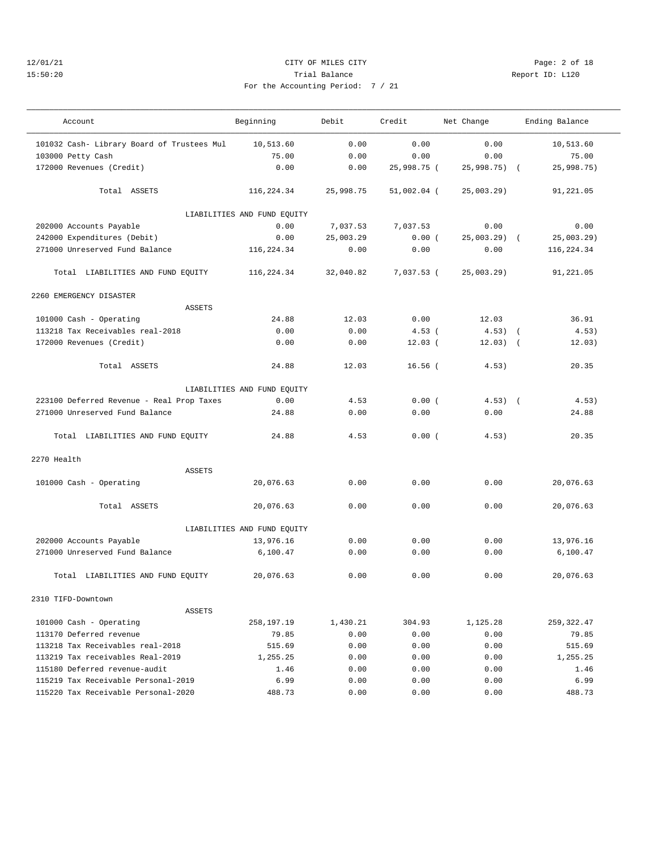## 12/01/21 CITY OF MILES CITY Page: 2 of 18 15:50:20 Trial Balance Report ID: L120 For the Accounting Period: 7 / 21

| Account                                    | Beginning                   | Debit     | Credit        | Net Change    | Ending Balance |
|--------------------------------------------|-----------------------------|-----------|---------------|---------------|----------------|
| 101032 Cash- Library Board of Trustees Mul | 10,513.60                   | 0.00      | 0.00          | 0.00          | 10,513.60      |
| 103000 Petty Cash                          | 75.00                       | 0.00      | 0.00          | 0.00          | 75.00          |
| 172000 Revenues (Credit)                   | 0.00                        | 0.00      | 25,998.75 (   | 25,998.75)    | 25,998.75)     |
| Total ASSETS                               | 116,224.34                  | 25,998.75 | $51,002.04$ ( | 25,003.29)    | 91,221.05      |
|                                            | LIABILITIES AND FUND EQUITY |           |               |               |                |
| 202000 Accounts Payable                    | 0.00                        | 7,037.53  | 7,037.53      | 0.00          | 0.00           |
| 242000 Expenditures (Debit)                | 0.00                        | 25,003.29 | 0.00(         | $25,003.29$ ( | 25,003.29)     |
| 271000 Unreserved Fund Balance             | 116,224.34                  | 0.00      | 0.00          | 0.00          | 116,224.34     |
| Total LIABILITIES AND FUND EQUITY          | 116,224.34                  | 32,040.82 | 7,037.53 (    | 25,003.29)    | 91,221.05      |
| 2260 EMERGENCY DISASTER                    |                             |           |               |               |                |
| <b>ASSETS</b>                              |                             |           |               |               |                |
| 101000 Cash - Operating                    | 24.88                       | 12.03     | 0.00          | 12.03         | 36.91          |
| 113218 Tax Receivables real-2018           | 0.00                        | 0.00      | $4.53$ (      | $4.53)$ (     | 4.53)          |
| 172000 Revenues (Credit)                   | 0.00                        | 0.00      | $12.03$ (     | $12.03)$ (    | 12.03)         |
| Total ASSETS                               | 24.88                       | 12.03     | $16.56$ (     | 4.53)         | 20.35          |
|                                            | LIABILITIES AND FUND EQUITY |           |               |               |                |
| 223100 Deferred Revenue - Real Prop Taxes  | 0.00                        | 4.53      | 0.00(         | $4.53)$ (     | 4.53)          |
| 271000 Unreserved Fund Balance             | 24.88                       | 0.00      | 0.00          | 0.00          | 24.88          |
| Total LIABILITIES AND FUND EQUITY          | 24.88                       | 4.53      | 0.00(         | 4.53)         | 20.35          |
| 2270 Health                                |                             |           |               |               |                |
| <b>ASSETS</b>                              |                             |           |               |               |                |
| 101000 Cash - Operating                    | 20,076.63                   | 0.00      | 0.00          | 0.00          | 20,076.63      |
| Total ASSETS                               | 20,076.63                   | 0.00      | 0.00          | 0.00          | 20,076.63      |
|                                            | LIABILITIES AND FUND EQUITY |           |               |               |                |
| 202000 Accounts Payable                    | 13,976.16                   | 0.00      | 0.00          | 0.00          | 13,976.16      |
| 271000 Unreserved Fund Balance             | 6,100.47                    | 0.00      | 0.00          | 0.00          | 6,100.47       |
| Total LIABILITIES AND FUND EQUITY          | 20,076.63                   | 0.00      | 0.00          | 0.00          | 20,076.63      |
| 2310 TIFD-Downtown                         |                             |           |               |               |                |
| ASSETS                                     |                             |           |               |               |                |
| 101000 Cash - Operating                    | 258,197.19                  | 1,430.21  | 304.93        | 1,125.28      | 259, 322.47    |
| 113170 Deferred revenue                    | 79.85                       | 0.00      | 0.00          | 0.00          | 79.85          |
| 113218 Tax Receivables real-2018           | 515.69                      | 0.00      | 0.00          | 0.00          | 515.69         |
| 113219 Tax receivables Real-2019           | 1,255.25                    | 0.00      | 0.00          | 0.00          | 1,255.25       |
| 115180 Deferred revenue-audit              | 1.46                        | 0.00      | 0.00          | 0.00          | 1.46           |
| 115219 Tax Receivable Personal-2019        | 6.99                        | 0.00      | 0.00          | 0.00          | 6.99           |
| 115220 Tax Receivable Personal-2020        | 488.73                      | 0.00      | 0.00          | 0.00          | 488.73         |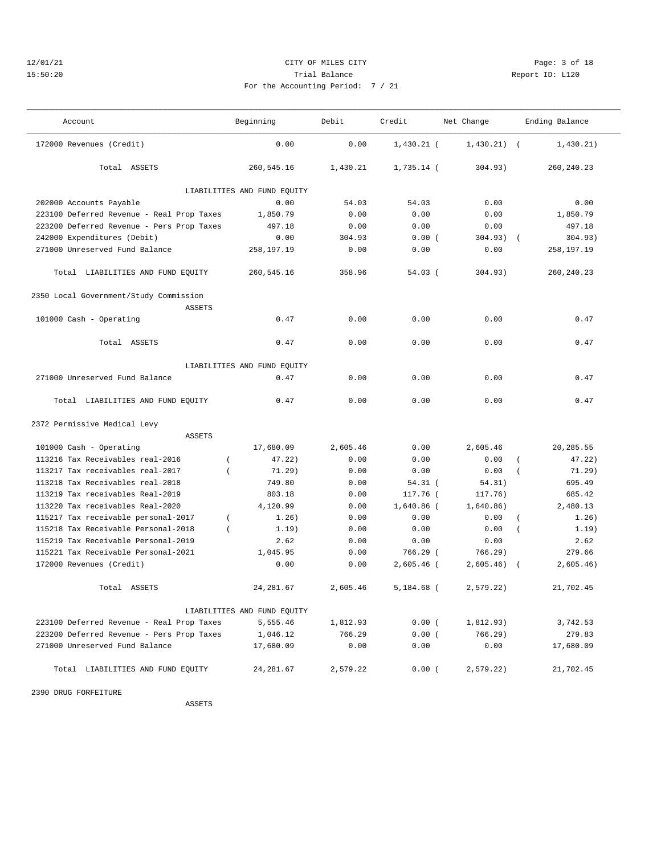## 12/01/21 CITY OF MILES CITY Page: 3 of 18 15:50:20 Trial Balance Report ID: L120 For the Accounting Period: 7 / 21

| $\sim$ $\sim$ $\sim$ |  |  |  |
|----------------------|--|--|--|

———————————————————————————————————————————————————————————————————————————————————————————————————————————————————————————————————

| Account                                                              | Beginning                   | Debit        | Credit                | Net Change        | Ending Balance        |
|----------------------------------------------------------------------|-----------------------------|--------------|-----------------------|-------------------|-----------------------|
| 172000 Revenues (Credit)                                             | 0.00                        | 0.00         | $1,430.21$ (          | $1,430.21$ (      | 1,430.21)             |
| Total ASSETS                                                         | 260,545.16                  | 1,430.21     | 1,735.14 (            | 304.93)           | 260, 240. 23          |
|                                                                      | LIABILITIES AND FUND EQUITY |              |                       |                   |                       |
| 202000 Accounts Payable                                              | 0.00                        | 54.03        | 54.03                 | 0.00              | 0.00                  |
| 223100 Deferred Revenue - Real Prop Taxes                            | 1,850.79                    | 0.00         | 0.00                  | 0.00              | 1,850.79              |
| 223200 Deferred Revenue - Pers Prop Taxes                            | 497.18                      | 0.00         | 0.00                  | 0.00              | 497.18                |
| 242000 Expenditures (Debit)                                          | 0.00                        | 304.93       | 0.00(                 | 304.93)           | 304.93)<br>$\sqrt{ }$ |
| 271000 Unreserved Fund Balance                                       | 258,197.19                  | 0.00         | 0.00                  | 0.00              | 258,197.19            |
| Total LIABILITIES AND FUND EQUITY                                    | 260,545.16                  | 358.96       | $54.03$ (             | 304.93)           | 260, 240. 23          |
| 2350 Local Government/Study Commission                               |                             |              |                       |                   |                       |
| <b>ASSETS</b>                                                        |                             |              |                       |                   |                       |
| 101000 Cash - Operating                                              | 0.47                        | 0.00         | 0.00                  | 0.00              | 0.47                  |
| Total ASSETS                                                         | 0.47                        | 0.00         | 0.00                  | 0.00              | 0.47                  |
|                                                                      | LIABILITIES AND FUND EQUITY |              |                       |                   |                       |
| 271000 Unreserved Fund Balance                                       | 0.47                        | 0.00         | 0.00                  | 0.00              | 0.47                  |
| Total LIABILITIES AND FUND EQUITY                                    | 0.47                        | 0.00         | 0.00                  | 0.00              | 0.47                  |
| 2372 Permissive Medical Levy                                         |                             |              |                       |                   |                       |
| <b>ASSETS</b>                                                        |                             |              |                       |                   |                       |
| 101000 Cash - Operating                                              | 17,680.09                   | 2,605.46     | 0.00                  | 2,605.46          | 20, 285.55            |
| 113216 Tax Receivables real-2016                                     | 47.22)<br>$\left($          | 0.00         | 0.00                  | 0.00              | 47.22)                |
| 113217 Tax receivables real-2017                                     | 71.29)<br>$\overline{ }$    | 0.00         | 0.00                  | 0.00              | 71.29)                |
| 113218 Tax Receivables real-2018<br>113219 Tax receivables Real-2019 | 749.80<br>803.18            | 0.00<br>0.00 | $54.31$ (<br>117.76 ( | 54.31)<br>117.76) | 695.49<br>685.42      |
| 113220 Tax receivables Real-2020                                     | 4,120.99                    | 0.00         | $1,640.86$ (          | 1,640.86)         | 2,480.13              |
| 115217 Tax receivable personal-2017                                  | 1.26)<br>$\left($           | 0.00         | 0.00                  | 0.00              | 1.26)                 |
| 115218 Tax Receivable Personal-2018                                  | $\left($<br>1.19)           | 0.00         | 0.00                  | 0.00              | 1.19)<br>$\left($     |
| 115219 Tax Receivable Personal-2019                                  | 2.62                        | 0.00         | 0.00                  | 0.00              | 2.62                  |
| 115221 Tax Receivable Personal-2021                                  | 1,045.95                    | 0.00         | 766.29 (              | 766.29)           | 279.66                |
| 172000 Revenues (Credit)                                             | 0.00                        | 0.00         | $2,605.46$ (          | 2,605.46)         | 2,605.46)             |
| Total ASSETS                                                         | 24, 281.67                  | 2,605.46     | $5,184.68$ (          | 2,579.22)         | 21,702.45             |
|                                                                      | LIABILITIES AND FUND EQUITY |              |                       |                   |                       |
| 223100 Deferred Revenue - Real Prop Taxes                            | 5,555.46                    | 1,812.93     | 0.00(                 | 1,812.93)         | 3,742.53              |
| 223200 Deferred Revenue - Pers Prop Taxes                            | 1,046.12                    | 766.29       | 0.00(                 | 766.29)           | 279.83                |
| 271000 Unreserved Fund Balance                                       | 17,680.09                   | 0.00         | 0.00                  | 0.00              | 17,680.09             |
| Total LIABILITIES AND FUND EQUITY                                    | 24, 281.67                  | 2,579.22     | 0.00(                 | 2,579.22          | 21,702.45             |

2390 DRUG FORFEITURE

ASSETS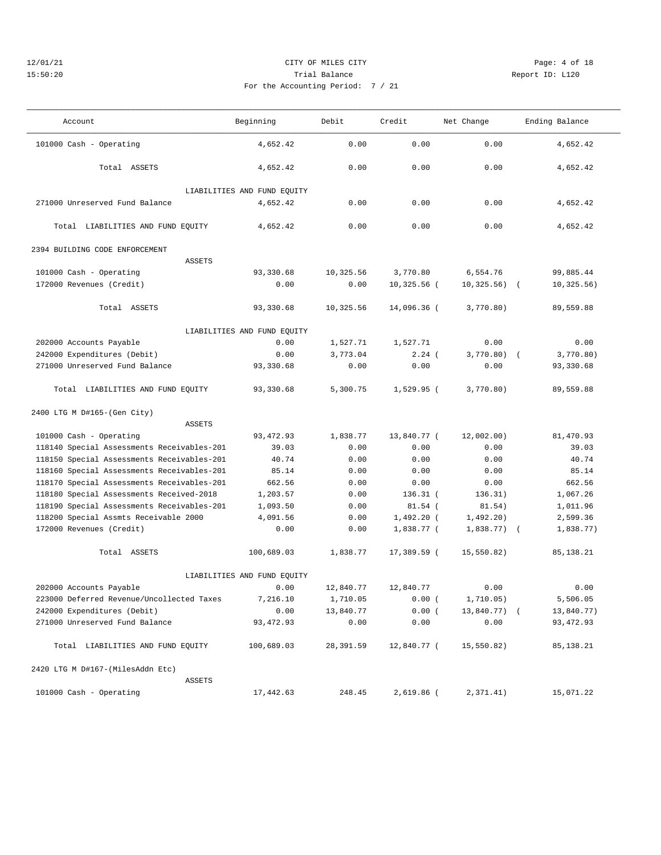## 12/01/21 CITY OF MILES CITY Page: 4 of 18 15:50:20 Trial Balance Report ID: L120 For the Accounting Period: 7 / 21

| Account                                    | Beginning                   | Debit     | Credit        | Net Change     | Ending Balance          |
|--------------------------------------------|-----------------------------|-----------|---------------|----------------|-------------------------|
| 101000 Cash - Operating                    | 4,652.42                    | 0.00      | 0.00          | 0.00           | 4,652.42                |
| Total ASSETS                               | 4,652.42                    | 0.00      | 0.00          | 0.00           | 4,652.42                |
|                                            | LIABILITIES AND FUND EQUITY |           |               |                |                         |
| 271000 Unreserved Fund Balance             | 4,652.42                    | 0.00      | 0.00          | 0.00           | 4,652.42                |
| Total LIABILITIES AND FUND EQUITY          | 4,652.42                    | 0.00      | 0.00          | 0.00           | 4,652.42                |
| 2394 BUILDING CODE ENFORCEMENT             |                             |           |               |                |                         |
| <b>ASSETS</b>                              |                             |           |               |                |                         |
| 101000 Cash - Operating                    | 93,330.68                   | 10,325.56 | 3,770.80      | 6,554.76       | 99,885.44               |
| 172000 Revenues (Credit)                   | 0.00                        | 0.00      | $10,325.56$ ( | 10, 325.56)    | 10, 325.56)<br>$\left($ |
| Total ASSETS                               | 93,330.68                   | 10,325.56 | 14,096.36 (   | 3,770.80)      | 89,559.88               |
|                                            | LIABILITIES AND FUND EQUITY |           |               |                |                         |
| 202000 Accounts Payable                    | 0.00                        | 1,527.71  | 1,527.71      | 0.00           | 0.00                    |
| 242000 Expenditures (Debit)                | 0.00                        | 3,773.04  | $2.24$ (      | 3,770.80)      | 3,770.80)<br>$\sqrt{2}$ |
| 271000 Unreserved Fund Balance             | 93,330.68                   | 0.00      | 0.00          | 0.00           | 93,330.68               |
| Total LIABILITIES AND FUND EQUITY          | 93,330.68                   | 5,300.75  | $1,529.95$ (  | 3,770.80)      | 89,559.88               |
| 2400 LTG M D#165-(Gen City)                |                             |           |               |                |                         |
| <b>ASSETS</b>                              |                             |           |               |                |                         |
| 101000 Cash - Operating                    | 93, 472.93                  | 1,838.77  | 13,840.77 (   | 12,002.00)     | 81,470.93               |
| 118140 Special Assessments Receivables-201 | 39.03                       | 0.00      | 0.00          | 0.00           | 39.03                   |
| 118150 Special Assessments Receivables-201 | 40.74                       | 0.00      | 0.00          | 0.00           | 40.74                   |
| 118160 Special Assessments Receivables-201 | 85.14                       | 0.00      | 0.00          | 0.00           | 85.14                   |
| 118170 Special Assessments Receivables-201 | 662.56                      | 0.00      | 0.00          | 0.00           | 662.56                  |
| 118180 Special Assessments Received-2018   | 1,203.57                    | 0.00      | $136.31$ (    | 136.31)        | 1,067.26                |
| 118190 Special Assessments Receivables-201 | 1,093.50                    | 0.00      | $81.54$ (     | 81.54)         | 1,011.96                |
| 118200 Special Assmts Receivable 2000      | 4,091.56                    | 0.00      | $1,492.20$ (  | 1,492.20)      | 2,599.36                |
| 172000 Revenues (Credit)                   | 0.00                        | 0.00      | 1,838.77 (    | $1,838.77$ ) ( | 1,838.77)               |
| Total ASSETS                               | 100,689.03                  | 1,838.77  | 17,389.59 (   | 15, 550.82)    | 85,138.21               |
|                                            | LIABILITIES AND FUND EQUITY |           |               |                |                         |
| 202000 Accounts Payable                    | 0.00                        | 12,840.77 | 12,840.77     | 0.00           | 0.00                    |
| 223000 Deferred Revenue/Uncollected Taxes  | 7,216.10                    | 1,710.05  | 0.00(         | 1,710.05)      | 5,506.05                |
| 242000 Expenditures (Debit)                | 0.00                        | 13,840.77 | 0.00(         | 13,840.77) (   | 13,840.77)              |
| 271000 Unreserved Fund Balance             | 93, 472.93                  | 0.00      | 0.00          | 0.00           | 93,472.93               |
| Total LIABILITIES AND FUND EQUITY          | 100,689.03                  | 28,391.59 | 12,840.77 (   | 15,550.82)     | 85,138.21               |
| 2420 LTG M D#167-(MilesAddn Etc)           |                             |           |               |                |                         |
| ASSETS                                     |                             |           |               |                |                         |
| 101000 Cash - Operating                    | 17,442.63                   | 248.45    | $2,619.86$ (  | 2,371.41)      | 15,071.22               |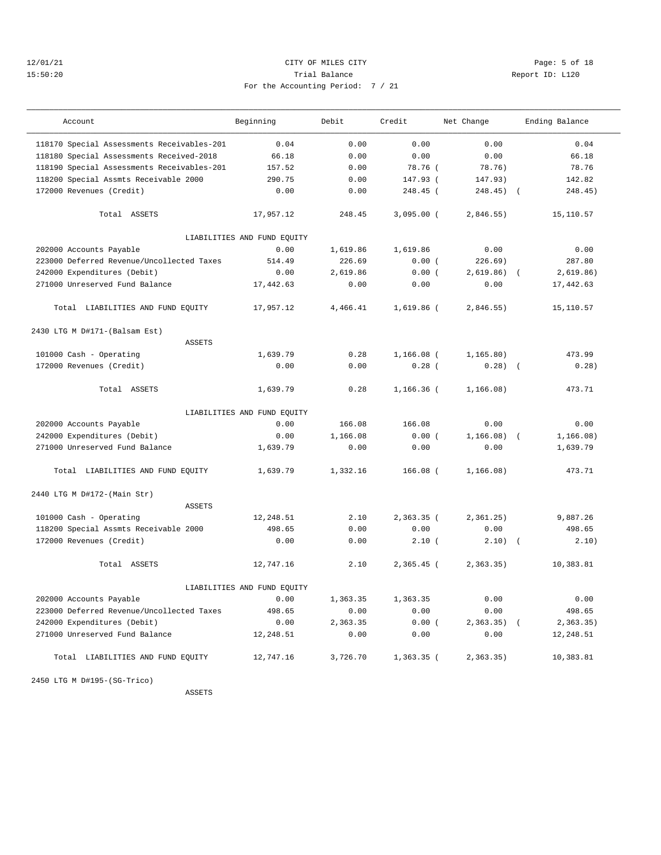## 12/01/21 CITY OF MILES CITY Page: 5 of 18 15:50:20 Trial Balance Report ID: L120 For the Accounting Period: 7 / 21

| Account                                    | Beginning                   | Debit    | Credit       | Net Change   | Ending Balance           |
|--------------------------------------------|-----------------------------|----------|--------------|--------------|--------------------------|
| 118170 Special Assessments Receivables-201 | 0.04                        | 0.00     | 0.00         | 0.00         | 0.04                     |
| 118180 Special Assessments Received-2018   | 66.18                       | 0.00     | 0.00         | 0.00         | 66.18                    |
| 118190 Special Assessments Receivables-201 | 157.52                      | 0.00     | 78.76 (      | 78.76)       | 78.76                    |
| 118200 Special Assmts Receivable 2000      | 290.75                      | 0.00     | 147.93 (     | 147.93)      | 142.82                   |
| 172000 Revenues (Credit)                   | 0.00                        | 0.00     | 248.45 (     | $248.45$ ) ( | 248.45)                  |
| Total ASSETS                               | 17,957.12                   | 248.45   | $3,095.00$ ( | 2,846.55)    | 15,110.57                |
|                                            | LIABILITIES AND FUND EQUITY |          |              |              |                          |
| 202000 Accounts Payable                    | 0.00                        | 1,619.86 | 1,619.86     | 0.00         | 0.00                     |
| 223000 Deferred Revenue/Uncollected Taxes  | 514.49                      | 226.69   | 0.00(        | 226.69)      | 287.80                   |
| 242000 Expenditures (Debit)                | 0.00                        | 2,619.86 | 0.00(        | 2,619.86)    | 2,619.86)                |
| 271000 Unreserved Fund Balance             | 17,442.63                   | 0.00     | 0.00         | 0.00         | 17,442.63                |
| Total LIABILITIES AND FUND EQUITY          | 17,957.12                   | 4,466.41 | 1,619.86 (   | 2,846.55)    | 15,110.57                |
| 2430 LTG M D#171-(Balsam Est)              |                             |          |              |              |                          |
| <b>ASSETS</b>                              |                             |          |              |              |                          |
| 101000 Cash - Operating                    | 1,639.79                    | 0.28     | $1,166.08$ ( | 1, 165.80)   | 473.99                   |
| 172000 Revenues (Credit)                   | 0.00                        | 0.00     | 0.28(        | 0.28)        | 0.28)<br>$\sqrt{ }$      |
| Total ASSETS                               | 1,639.79                    | 0.28     | $1,166.36$ ( | 1, 166.08)   | 473.71                   |
|                                            | LIABILITIES AND FUND EQUITY |          |              |              |                          |
| 202000 Accounts Payable                    | 0.00                        | 166.08   | 166.08       | 0.00         | 0.00                     |
| 242000 Expenditures (Debit)                | 0.00                        | 1,166.08 | 0.00(        | 1,166.08)    | 1, 166.08)               |
| 271000 Unreserved Fund Balance             | 1,639.79                    | 0.00     | 0.00         | 0.00         | 1,639.79                 |
| Total LIABILITIES AND FUND EQUITY          | 1,639.79                    | 1,332.16 | $166.08$ (   | 1, 166.08)   | 473.71                   |
| 2440 LTG M D#172-(Main Str)                |                             |          |              |              |                          |
| <b>ASSETS</b>                              |                             |          |              |              |                          |
| 101000 Cash - Operating                    | 12,248.51                   | 2.10     | $2,363.35$ ( | 2, 361.25)   | 9,887.26                 |
| 118200 Special Assmts Receivable 2000      | 498.65                      | 0.00     | 0.00         | 0.00         | 498.65                   |
| 172000 Revenues (Credit)                   | 0.00                        | 0.00     | 2.10(        | 2.10)        | 2.10)<br>$\sqrt{ }$      |
| Total ASSETS                               | 12,747.16                   | 2.10     | 2,365.45 (   | 2, 363.35)   | 10,383.81                |
|                                            | LIABILITIES AND FUND EOUITY |          |              |              |                          |
| 202000 Accounts Payable                    | 0.00                        | 1,363.35 | 1,363.35     | 0.00         | 0.00                     |
| 223000 Deferred Revenue/Uncollected Taxes  | 498.65                      | 0.00     | 0.00         | 0.00         | 498.65                   |
| 242000 Expenditures (Debit)                | 0.00                        | 2,363.35 | 0.00(        | 2, 363.35)   | 2, 363.35)<br>$\sqrt{2}$ |
| 271000 Unreserved Fund Balance             | 12,248.51                   | 0.00     | 0.00         | 0.00         | 12,248.51                |
| Total LIABILITIES AND FUND EQUITY          | 12,747.16                   | 3,726.70 | $1,363.35$ ( | 2, 363.35)   | 10,383.81                |

2450 LTG M D#195-(SG-Trico)

ASSETS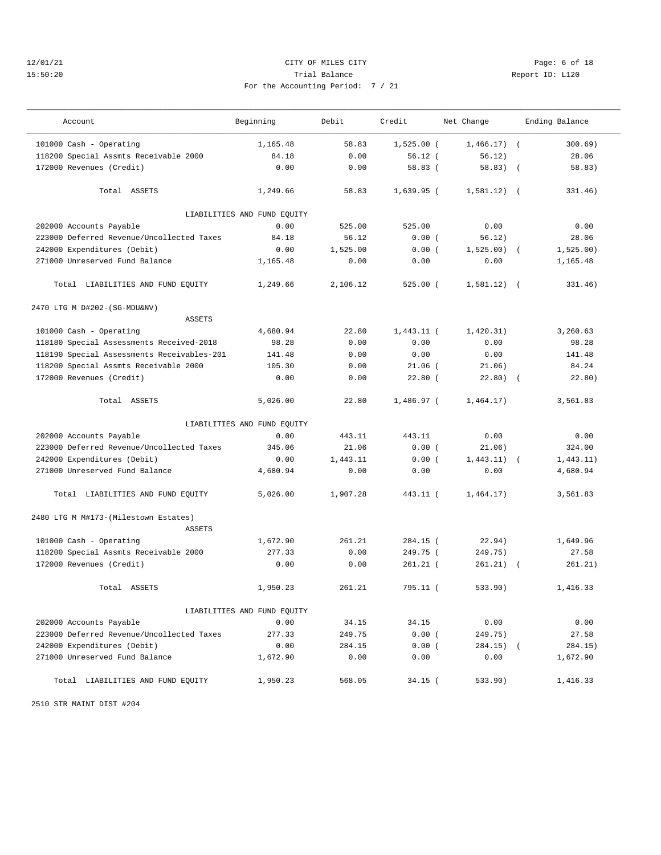## 12/01/21 CITY OF MILES CITY Page: 6 of 18 15:50:20 Trial Balance Report ID: L120 For the Accounting Period: 7 / 21

| Account                                               | Beginning                   | Debit    | Credit       | Net Change    |            | Ending Balance |
|-------------------------------------------------------|-----------------------------|----------|--------------|---------------|------------|----------------|
| 101000 Cash - Operating                               | 1,165.48                    | 58.83    | $1,525.00$ ( | $1,466.17$ (  |            | 300.69)        |
| 118200 Special Assmts Receivable 2000                 | 84.18                       | 0.00     | 56.12(       | 56.12)        |            | 28.06          |
| 172000 Revenues (Credit)                              | 0.00                        | 0.00     | 58.83(       | 58.83)        | $\sqrt{2}$ | 58.83)         |
| Total ASSETS                                          | 1,249.66                    | 58.83    | $1,639.95$ ( | 1,581.12)     | $\sqrt{2}$ | 331.46)        |
|                                                       | LIABILITIES AND FUND EQUITY |          |              |               |            |                |
| 202000 Accounts Payable                               | 0.00                        | 525.00   | 525.00       | 0.00          |            | 0.00           |
| 223000 Deferred Revenue/Uncollected Taxes             | 84.18                       | 56.12    | 0.00(        | 56.12)        |            | 28.06          |
| 242000 Expenditures (Debit)                           | 0.00                        | 1,525.00 | 0.00(        | 1,525.00)     | $\sqrt{ }$ | 1,525.00)      |
| 271000 Unreserved Fund Balance                        | 1,165.48                    | 0.00     | 0.00         | 0.00          |            | 1,165.48       |
| Total LIABILITIES AND FUND EQUITY                     | 1,249.66                    | 2,106.12 | $525.00$ (   | $1,581.12)$ ( |            | 331.46)        |
| 2470 LTG M D#202-(SG-MDU&NV)                          |                             |          |              |               |            |                |
| <b>ASSETS</b>                                         |                             |          |              |               |            |                |
| 101000 Cash - Operating                               | 4,680.94                    | 22.80    | $1,443.11$ ( | 1,420.31)     |            | 3,260.63       |
| 118180 Special Assessments Received-2018              | 98.28                       | 0.00     | 0.00         | 0.00          |            | 98.28          |
| 118190 Special Assessments Receivables-201            | 141.48                      | 0.00     | 0.00         | 0.00          |            | 141.48         |
| 118200 Special Assmts Receivable 2000                 | 105.30                      | 0.00     | $21.06$ (    | 21.06)        |            | 84.24          |
| 172000 Revenues (Credit)                              | 0.00                        | 0.00     | $22.80$ (    | 22.80)        | $\sqrt{2}$ | 22.80)         |
| Total ASSETS                                          | 5,026.00                    | 22.80    | 1,486.97 (   | 1,464.17)     |            | 3,561.83       |
|                                                       | LIABILITIES AND FUND EQUITY |          |              |               |            |                |
| 202000 Accounts Payable                               | 0.00                        | 443.11   | 443.11       | 0.00          |            | 0.00           |
| 223000 Deferred Revenue/Uncollected Taxes             | 345.06                      | 21.06    | 0.00(        | 21.06)        |            | 324.00         |
| 242000 Expenditures (Debit)                           | 0.00                        | 1,443.11 | 0.00(        | 1,443.11)     |            | 1,443.11)      |
| 271000 Unreserved Fund Balance                        | 4,680.94                    | 0.00     | 0.00         | 0.00          |            | 4,680.94       |
| Total LIABILITIES AND FUND EQUITY                     | 5,026.00                    | 1,907.28 | 443.11 (     | 1,464.17)     |            | 3,561.83       |
| 2480 LTG M M#173-(Milestown Estates)<br><b>ASSETS</b> |                             |          |              |               |            |                |
| 101000 Cash - Operating                               | 1,672.90                    | 261.21   | $284.15$ (   | 22.94)        |            | 1,649.96       |
| 118200 Special Assmts Receivable 2000                 | 277.33                      | 0.00     | 249.75 (     | 249.75)       |            | 27.58          |
| 172000 Revenues (Credit)                              | 0.00                        | 0.00     | $261.21$ (   | 261.21)       | $\sqrt{2}$ | 261.21)        |
| Total ASSETS                                          | 1,950.23                    | 261.21   | 795.11 (     | 533.90)       |            | 1,416.33       |
|                                                       | LIABILITIES AND FUND EQUITY |          |              |               |            |                |
| 202000 Accounts Payable                               | 0.00                        | 34.15    | 34.15        | 0.00          |            | 0.00           |
| 223000 Deferred Revenue/Uncollected Taxes             | 277.33                      | 249.75   | 0.00(        | 249.75)       |            | 27.58          |
| 242000 Expenditures (Debit)                           | 0.00                        | 284.15   | 0.00(        | $284.15)$ (   |            | 284.15)        |
| 271000 Unreserved Fund Balance                        | 1,672.90                    | 0.00     | 0.00         | 0.00          |            | 1,672.90       |
| Total LIABILITIES AND FUND EQUITY                     | 1,950.23                    | 568.05   | $34.15$ (    | 533.90)       |            | 1,416.33       |

2510 STR MAINT DIST #204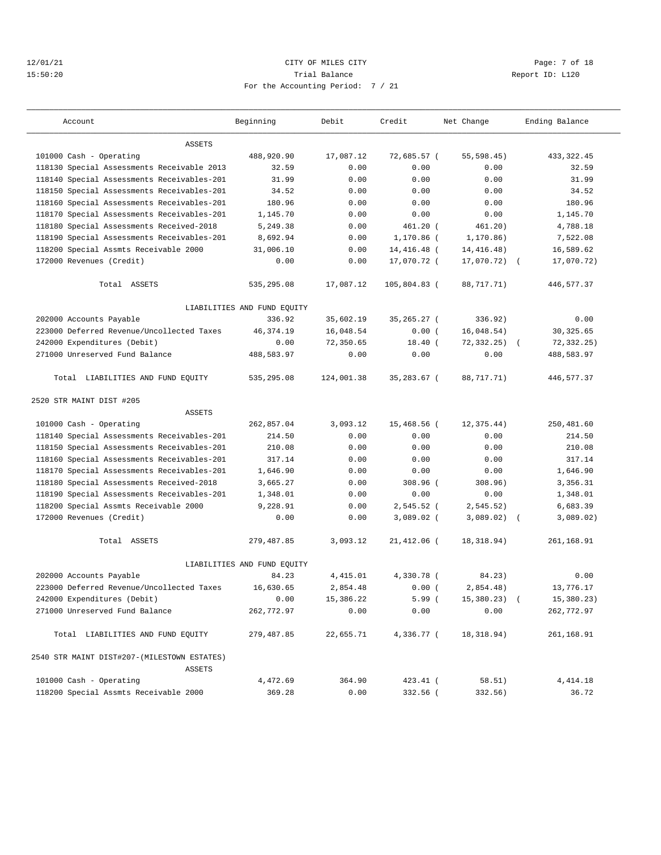## 12/01/21 CITY OF MILES CITY Page: 7 of 18 15:50:20 Trial Balance Report ID: L120 For the Accounting Period: 7 / 21

| Account                                     | Beginning                   | Debit      | Credit        | Net Change  | Ending Balance    |
|---------------------------------------------|-----------------------------|------------|---------------|-------------|-------------------|
| ASSETS                                      |                             |            |               |             |                   |
| 101000 Cash - Operating                     | 488,920.90                  | 17,087.12  | 72,685.57 (   | 55, 598.45) | 433, 322.45       |
| 118130 Special Assessments Receivable 2013  | 32.59                       | 0.00       | 0.00          | 0.00        | 32.59             |
| 118140 Special Assessments Receivables-201  | 31.99                       | 0.00       | 0.00          | 0.00        | 31.99             |
| 118150 Special Assessments Receivables-201  | 34.52                       | 0.00       | 0.00          | 0.00        | 34.52             |
| 118160 Special Assessments Receivables-201  | 180.96                      | 0.00       | 0.00          | 0.00        | 180.96            |
| 118170 Special Assessments Receivables-201  | 1,145.70                    | 0.00       | 0.00          | 0.00        | 1,145.70          |
| 118180 Special Assessments Received-2018    | 5,249.38                    | 0.00       | $461.20$ (    | 461.20)     | 4,788.18          |
| 118190 Special Assessments Receivables-201  | 8,692.94                    | 0.00       | 1,170.86 (    | 1, 170.86)  | 7,522.08          |
| 118200 Special Assmts Receivable 2000       | 31,006.10                   | 0.00       | 14,416.48 (   | 14,416.48)  | 16,589.62         |
| 172000 Revenues (Credit)                    | 0.00                        | 0.00       | 17,070.72 (   | 17,070.72)  | 17,070.72)        |
| Total ASSETS                                | 535,295.08                  | 17,087.12  | 105,804.83 (  | 88,717.71)  | 446,577.37        |
|                                             | LIABILITIES AND FUND EQUITY |            |               |             |                   |
| 202000 Accounts Payable                     | 336.92                      | 35,602.19  | 35,265.27 (   | 336.92)     | 0.00              |
| 223000 Deferred Revenue/Uncollected Taxes   | 46, 374.19                  | 16,048.54  | 0.00(         | 16,048.54)  | 30, 325.65        |
| 242000 Expenditures (Debit)                 | 0.00                        | 72,350.65  | $18.40$ (     | 72, 332.25) | 72, 332.25        |
| 271000 Unreserved Fund Balance              | 488,583.97                  | 0.00       | 0.00          | 0.00        | 488,583.97        |
| Total LIABILITIES AND FUND EQUITY           | 535,295.08                  | 124,001.38 | 35,283.67 (   | 88,717.71)  | 446,577.37        |
| 2520 STR MAINT DIST #205                    |                             |            |               |             |                   |
| <b>ASSETS</b>                               |                             |            |               |             |                   |
| 101000 Cash - Operating                     | 262,857.04                  | 3,093.12   | 15,468.56 (   | 12, 375.44) | 250,481.60        |
| 118140 Special Assessments Receivables-201  | 214.50                      | 0.00       | 0.00          | 0.00        | 214.50            |
| 118150 Special Assessments Receivables-201  | 210.08                      | 0.00       | 0.00          | 0.00        | 210.08            |
| 118160 Special Assessments Receivables-201  | 317.14                      | 0.00       | 0.00          | 0.00        | 317.14            |
| 118170 Special Assessments Receivables-201  | 1,646.90                    | 0.00       | 0.00          | 0.00        | 1,646.90          |
| 118180 Special Assessments Received-2018    | 3,665.27                    | 0.00       | 308.96 (      | 308.96)     | 3,356.31          |
| 118190 Special Assessments Receivables-201  | 1,348.01                    | 0.00       | 0.00          | 0.00        | 1,348.01          |
| 118200 Special Assmts Receivable 2000       | 9,228.91                    | 0.00       | $2,545.52$ (  | 2, 545.52)  | 6,683.39          |
| 172000 Revenues (Credit)                    | 0.00                        | 0.00       | $3,089.02$ (  | 3,089.02)   | 3,089.02)         |
| Total ASSETS                                | 279,487.85                  | 3,093.12   | $21,412.06$ ( | 18, 318.94) | 261,168.91        |
|                                             | LIABILITIES AND FUND EQUITY |            |               |             |                   |
| 202000 Accounts Payable                     | 84.23                       | 4,415.01   | 4,330.78 (    | 84.23)      | 0.00              |
| 223000 Deferred Revenue/Uncollected Taxes   | 16,630.65                   | 2,854.48   | 0.00(         | 2,854.48)   | 13,776.17         |
| 242000 Expenditures (Debit)                 | 0.00                        | 15,386.22  | 5.99(         | 15,380.23)  | 15,380.23)        |
| 271000 Unreserved Fund Balance              | 262,772.97                  | 0.00       | 0.00          | 0.00        | 262,772.97        |
| Total LIABILITIES AND FUND EQUITY           | 279,487.85                  | 22,655.71  | 4,336.77 (    | 18,318.94)  | 261,168.91        |
| 2540 STR MAINT DIST#207-(MILESTOWN ESTATES) |                             |            |               |             |                   |
| ASSETS                                      |                             |            |               |             |                   |
| 101000 Cash - Operating                     | 4,472.69<br>369.28          | 364.90     | 423.41 (      | 58.51)      | 4,414.18<br>36.72 |
| 118200 Special Assmts Receivable 2000       |                             | 0.00       | 332.56 (      | 332.56)     |                   |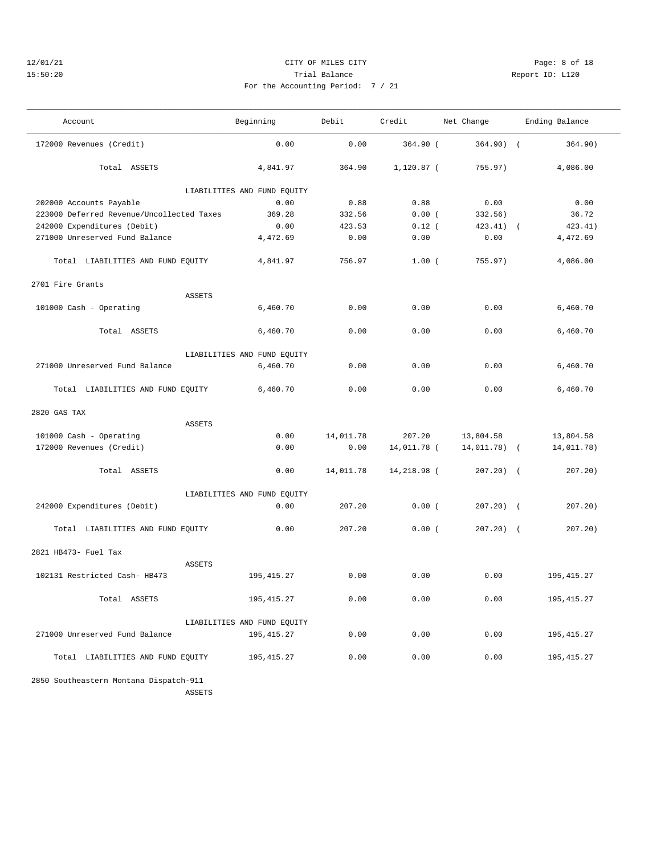## 12/01/21 CITY OF MILES CITY Page: 8 of 18 15:50:20 Trial Balance Report ID: L120 For the Accounting Period: 7 / 21

——————————————————————————————————————————————————————————————————————————————————————————————————————————————————————————————————— Account Beginning Debit Credit Net Change Ending Balance ———————————————————————————————————————————————————————————————————————————————————————————————————————————————————————————————————

| $2000 - 7$ $(21)$ |  |  |
|-------------------|--|--|

| 364.90<br>1,120.87 (<br>4,841.97<br>755.97)<br>4,086.00<br>Total ASSETS                    | 364.90) |
|--------------------------------------------------------------------------------------------|---------|
|                                                                                            |         |
| LIABILITIES AND FUND EQUITY                                                                |         |
| 0.00<br>0.00<br>0.88<br>0.88<br>202000 Accounts Payable<br>0.00                            |         |
| 223000 Deferred Revenue/Uncollected Taxes<br>369.28<br>36.72<br>0.00(<br>332.56)<br>332.56 |         |
| 242000 Expenditures (Debit)<br>0.00<br>423.53<br>$0.12$ (<br>423.41)<br>423.41)            |         |
| 271000 Unreserved Fund Balance<br>4,472.69<br>4,472.69<br>0.00<br>0.00<br>0.00             |         |
|                                                                                            |         |

| 223000 Deferred Revenue/Uncollected Taxes | 369.28                      | 332.56    | 0.00(       | 332.56)      | 36.72       |
|-------------------------------------------|-----------------------------|-----------|-------------|--------------|-------------|
| 242000 Expenditures (Debit)               | 0.00                        | 423.53    | $0.12$ (    | $423.41$ ) ( | 423.41)     |
| 271000 Unreserved Fund Balance            | 4,472.69                    | 0.00      | 0.00        | 0.00         | 4,472.69    |
| Total LIABILITIES AND FUND EQUITY         | 4,841.97                    | 756.97    | 1.00(       | 755.97)      | 4,086.00    |
| 2701 Fire Grants                          |                             |           |             |              |             |
| ASSETS                                    |                             |           |             |              |             |
| 101000 Cash - Operating                   | 6,460.70                    | 0.00      | 0.00        | 0.00         | 6,460.70    |
| Total ASSETS                              | 6,460.70                    | 0.00      | 0.00        | 0.00         | 6,460.70    |
|                                           | LIABILITIES AND FUND EQUITY |           |             |              |             |
| 271000 Unreserved Fund Balance            | 6,460.70                    | 0.00      | 0.00        | 0.00         | 6,460.70    |
| Total LIABILITIES AND FUND EQUITY         | 6,460.70                    | 0.00      | 0.00        | 0.00         | 6,460.70    |
| 2820 GAS TAX                              |                             |           |             |              |             |
| <b>ASSETS</b>                             |                             |           |             |              |             |
| 101000 Cash - Operating                   | 0.00                        | 14,011.78 | 207.20      | 13,804.58    | 13,804.58   |
| 172000 Revenues (Credit)                  | 0.00                        | 0.00      | 14,011.78 ( | 14,011.78) ( | 14,011.78)  |
| Total ASSETS                              | 0.00                        | 14,011.78 | 14,218.98 ( | $207.20$ (   | $207.20$ )  |
|                                           | LIABILITIES AND FUND EQUITY |           |             |              |             |
| 242000 Expenditures (Debit)               | 0.00                        | 207.20    | 0.00(       | $207.20$ ) ( | $207.20$ )  |
| Total LIABILITIES AND FUND EQUITY         | 0.00                        | 207.20    | 0.00(       | $207.20$ ) ( | $207.20$ )  |
| 2821 HB473- Fuel Tax                      |                             |           |             |              |             |
| <b>ASSETS</b>                             |                             |           |             |              |             |
| 102131 Restricted Cash- HB473             | 195, 415.27                 | 0.00      | 0.00        | 0.00         | 195, 415.27 |
| Total ASSETS                              | 195, 415.27                 | 0.00      | 0.00        | 0.00         | 195, 415.27 |
|                                           | LIABILITIES AND FUND EQUITY |           |             |              |             |
| 271000 Unreserved Fund Balance            | 195, 415.27                 | 0.00      | 0.00        | 0.00         | 195, 415.27 |
| Total LIABILITIES AND FUND EQUITY         | 195, 415.27                 | 0.00      | 0.00        | 0.00         | 195, 415.27 |
|                                           |                             |           |             |              |             |

 2850 Southeastern Montana Dispatch-911 ASSETS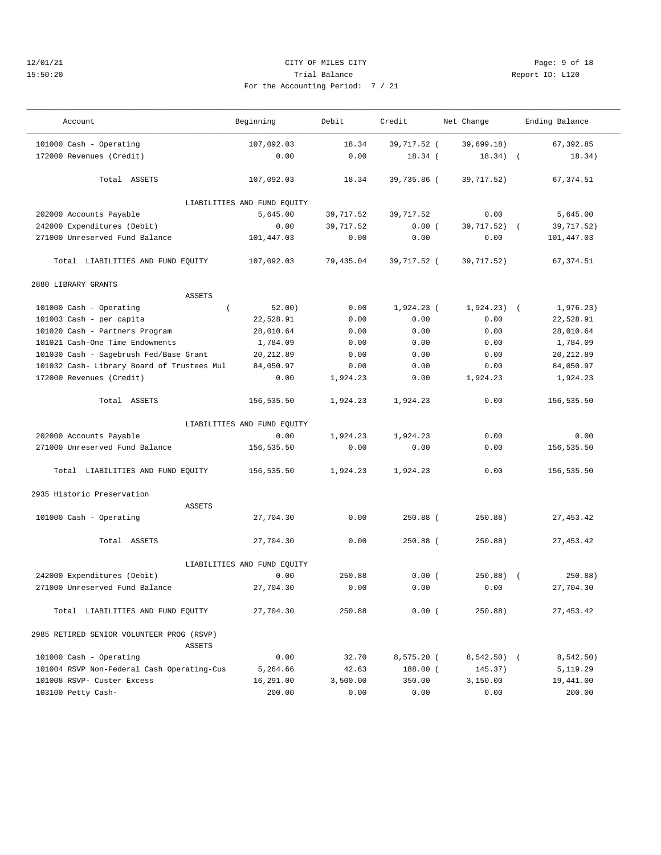#### 12/01/21 CITY OF MILES CITY Page: 9 of 18 15:50:20 Trial Balance Report ID: L120 For the Accounting Period: 7 / 21

——————————————————————————————————————————————————————————————————————————————————————————————————————————————————————————————————— Account and Beginning Debit Credit Net Change Ending Balance

| /21 |  |  |  |
|-----|--|--|--|

——————————————————————————————————————————————————————————————————————————————————————————————————————————————————————————————————— 101000 Cash - Operating 107,092.03 18.34 39,717.52 ( 39,699.18) 67,392.85 172000 Revenues (Credit) 0.00 0.00 18.34 ( 18.34) ( 18.34) Total ASSETS 107,092.03 18.34 39,735.86 ( 39,717.52) 67,374.51 LIABILITIES AND FUND EQUITY 202000 Accounts Payable 5,645.00 39,717.52 39,717.52 0.00 5,645.00 242000 Expenditures (Debit) 0.00 39,717.52 0.00 ( 39,717.52) ( 39,717.52) 271000 Unreserved Fund Balance 101,447.03 0.00 0.00 0.00 101,447.03 Total LIABILITIES AND FUND EQUITY 107,092.03 79,435.04 39,717.52 ( 39,717.52) 67,374.51 2880 LIBRARY GRANTS ASSETS 101000 Cash - Operating ( 52.00) 0.00 1,924.23 ( 1,924.23) ( 1,976.23) 101003 Cash - per capita 22,528.91 0.00 0.00 0.00 22,528.91 101020 Cash - Partners Program 28,010.64 0.00 0.00 0.00 28,010.64 101021 Cash-One Time Endowments 1,784.09 0.00 0.00 0.00 1,784.09 101030 Cash - Sagebrush Fed/Base Grant 20,212.89 0.00 0.00 0.00 20,212.89 101032 Cash- Library Board of Trustees Mul 84,050.97 0.00 0.00 0.00 0.00 84,050.97<br>172000 Revenues (Credit) 0.00 1,924.23 0.00 1,924.23 1,924.23 172000 Revenues (Credit) 0.00 1,924.23 0.00 1,924.23 1,924.23 Total ASSETS 156,535.50 1,924.23 1,924.23 0.00 156,535.50 LIABILITIES AND FUND EQUITY 202000 Accounts Payable 0.00 1,924.23 1,924.23 0.00 0.00 271000 Unreserved Fund Balance 156,535.50 0.00 0.00 0.00 156,535.50 Total LIABILITIES AND FUND EQUITY 156,535.50 1,924.23 1,924.23 0.00 156,535.50 2935 Historic Preservation ASSETS 101000 Cash - Operating 27,704.30 0.00 250.88 ( 250.88) 27,453.42 Total ASSETS 27,704.30 0.00 250.88 ( 250.88) 27,453.42 LIABILITIES AND FUND EQUITY 242000 Expenditures (Debit) 0.00 250.88 0.00 ( 250.88) ( 250.88) 271000 Unreserved Fund Balance 27,704.30 0.00 0.00 0.00 27,704.30 Total LIABILITIES AND FUND EQUITY 27,704.30 250.88 0.00 ( 250.88) 27,453.42 2985 RETIRED SENIOR VOLUNTEER PROG (RSVP) ASSETS 101000 Cash - Operating 0.00 32.70 8,575.20 ( 8,542.50) ( 8,542.50) 101004 RSVP Non-Federal Cash Operating-Cus 5,264.66 42.63 188.00 ( 145.37) 5,119.29 101008 RSVP- Custer Excess 16,291.00 3,500.00 350.00 3,150.00 19,441.00 103100 Petty Cash- 200.00 0.00 0.00 0.00 200.00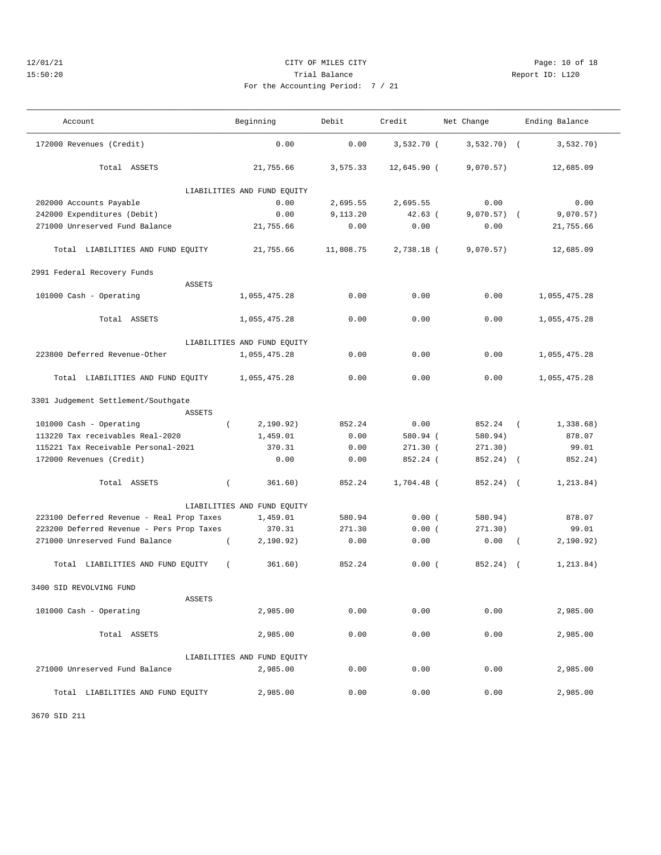### 12/01/21 CITY OF MILES CITY Page: 10 of 18 15:50:20 Trial Balance Report ID: L120 For the Accounting

———————————————————————————————————————————————————————————————————————————————————————————————————————————————————————————————————

| ng Period: 7 / 21 |  |  |  |
|-------------------|--|--|--|
|                   |  |  |  |

| Account                                       | Beginning                   | Debit     | Credit        | Net Change    | Ending Balance        |
|-----------------------------------------------|-----------------------------|-----------|---------------|---------------|-----------------------|
| 172000 Revenues (Credit)                      | 0.00                        | 0.00      | 3,532.70 (    | $3,532.70$ (  | 3,532.70)             |
| Total ASSETS                                  | 21,755.66                   | 3,575.33  | $12,645.90$ ( | 9,070.57)     | 12,685.09             |
|                                               | LIABILITIES AND FUND EQUITY |           |               |               |                       |
| 202000 Accounts Payable                       | 0.00                        | 2,695.55  | 2,695.55      | 0.00          | 0.00                  |
| 242000 Expenditures (Debit)                   | 0.00                        | 9,113.20  | $42.63$ (     | $9,070.57)$ ( | 9,070.57)             |
| 271000 Unreserved Fund Balance                | 21,755.66                   | 0.00      | 0.00          | 0.00          | 21,755.66             |
| Total LIABILITIES AND FUND EQUITY             | 21,755.66                   | 11,808.75 | 2,738.18 (    | 9,070.57)     | 12,685.09             |
| 2991 Federal Recovery Funds                   |                             |           |               |               |                       |
| <b>ASSETS</b>                                 |                             |           |               |               |                       |
| 101000 Cash - Operating                       | 1,055,475.28                | 0.00      | 0.00          | 0.00          | 1,055,475.28          |
| Total ASSETS                                  | 1,055,475.28                | 0.00      | 0.00          | 0.00          | 1,055,475.28          |
|                                               | LIABILITIES AND FUND EQUITY |           |               |               |                       |
| 223800 Deferred Revenue-Other                 | 1,055,475.28                | 0.00      | 0.00          | 0.00          | 1,055,475.28          |
| Total LIABILITIES AND FUND EQUITY             | 1,055,475.28                | 0.00      | 0.00          | 0.00          | 1,055,475.28          |
| 3301 Judgement Settlement/Southgate           |                             |           |               |               |                       |
| ASSETS                                        |                             |           |               |               |                       |
| 101000 Cash - Operating<br>$\left($           | 2,190.92)                   | 852.24    | 0.00          | 852.24        | 1,338.68)<br>$\left($ |
| 113220 Tax receivables Real-2020              | 1,459.01                    | 0.00      | 580.94 (      | 580.94)       | 878.07                |
| 115221 Tax Receivable Personal-2021           | 370.31                      | 0.00      | $271.30$ (    | 271.30)       | 99.01                 |
| 172000 Revenues (Credit)                      | 0.00                        | 0.00      | 852.24 (      | 852.24)       | 852.24)<br>$\sqrt{2}$ |
| Total ASSETS<br>$\left($                      | 361.60)                     | 852.24    | $1,704.48$ (  | 852.24) (     | 1,213.84)             |
|                                               | LIABILITIES AND FUND EQUITY |           |               |               |                       |
| 223100 Deferred Revenue - Real Prop Taxes     | 1,459.01                    | 580.94    | 0.00(         | 580.94)       | 878.07                |
| 223200 Deferred Revenue - Pers Prop Taxes     | 370.31                      | 271.30    | 0.00(         | 271.30)       | 99.01                 |
| 271000 Unreserved Fund Balance<br>$\left($    | 2,190.92)                   | 0.00      | 0.00          | 0.00          | 2,190.92)<br>$\left($ |
| Total LIABILITIES AND FUND EQUITY<br>$\left($ | 361.60)                     | 852.24    | 0.00(         | 852.24) (     | 1, 213.84)            |
| 3400 SID REVOLVING FUND                       |                             |           |               |               |                       |
| <b>ASSETS</b>                                 |                             |           |               |               |                       |
| 101000 Cash - Operating                       | 2,985.00                    | 0.00      | 0.00          | 0.00          | 2,985.00              |
| Total ASSETS                                  | 2,985.00                    | 0.00      | 0.00          | 0.00          | 2,985.00              |
|                                               | LIABILITIES AND FUND EQUITY |           |               |               |                       |
| 271000 Unreserved Fund Balance                | 2,985.00                    | 0.00      | 0.00          | 0.00          | 2,985.00              |
| Total LIABILITIES AND FUND EQUITY             | 2,985.00                    | 0.00      | 0.00          | 0.00          | 2,985.00              |

3670 SID 211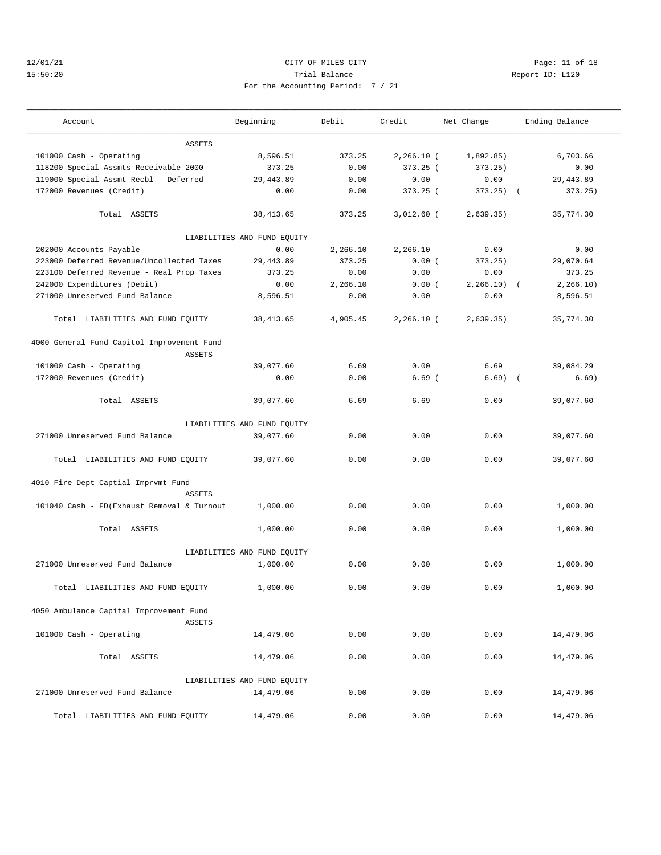## 12/01/21 Page: 11 of 18 15:50:20 Trial Balance Report ID: L120 For the Accounting Period: 7 / 21

| Account                                                     | Beginning                   | Debit    | Credit       | Net Change   |            | Ending Balance |
|-------------------------------------------------------------|-----------------------------|----------|--------------|--------------|------------|----------------|
| <b>ASSETS</b>                                               |                             |          |              |              |            |                |
| 101000 Cash - Operating                                     | 8,596.51                    | 373.25   | $2,266.10$ ( | 1,892.85)    |            | 6,703.66       |
| 118200 Special Assmts Receivable 2000                       | 373.25                      | 0.00     | $373.25$ (   | 373.25)      |            | 0.00           |
| 119000 Special Assmt Recbl - Deferred                       | 29, 443.89                  | 0.00     | 0.00         | 0.00         |            | 29, 443.89     |
| 172000 Revenues (Credit)                                    | 0.00                        | 0.00     | $373.25$ (   | $373.25$ ) ( |            | 373.25)        |
| Total ASSETS                                                | 38, 413.65                  | 373.25   | $3,012.60$ ( | 2,639.35)    |            | 35,774.30      |
|                                                             | LIABILITIES AND FUND EQUITY |          |              |              |            |                |
| 202000 Accounts Payable                                     | 0.00                        | 2,266.10 | 2,266.10     | 0.00         |            | 0.00           |
| 223000 Deferred Revenue/Uncollected Taxes                   | 29, 443.89                  | 373.25   | 0.00(        | 373.25)      |            | 29,070.64      |
| 223100 Deferred Revenue - Real Prop Taxes                   | 373.25                      | 0.00     | 0.00         | 0.00         |            | 373.25         |
| 242000 Expenditures (Debit)                                 | 0.00                        | 2,266.10 | 0.00(        | $2,266.10$ ( |            | 2, 266.10)     |
| 271000 Unreserved Fund Balance                              | 8,596.51                    | 0.00     | 0.00         | 0.00         |            | 8,596.51       |
| Total LIABILITIES AND FUND EQUITY                           | 38, 413.65                  | 4,905.45 | $2,266.10$ ( | 2,639.35)    |            | 35,774.30      |
| 4000 General Fund Capitol Improvement Fund<br><b>ASSETS</b> |                             |          |              |              |            |                |
| 101000 Cash - Operating                                     | 39,077.60                   | 6.69     | 0.00         | 6.69         |            | 39,084.29      |
| 172000 Revenues (Credit)                                    | 0.00                        | 0.00     | $6.69$ (     | 6.69)        | $\sqrt{ }$ | 6.69)          |
| Total ASSETS                                                | 39,077.60                   | 6.69     | 6.69         | 0.00         |            | 39,077.60      |
|                                                             | LIABILITIES AND FUND EQUITY |          |              |              |            |                |
| 271000 Unreserved Fund Balance                              | 39,077.60                   | 0.00     | 0.00         | 0.00         |            | 39,077.60      |
| Total LIABILITIES AND FUND EQUITY                           | 39,077.60                   | 0.00     | 0.00         | 0.00         |            | 39,077.60      |
| 4010 Fire Dept Captial Imprvmt Fund                         |                             |          |              |              |            |                |
| <b>ASSETS</b>                                               |                             |          |              |              |            |                |
| 101040 Cash - FD(Exhaust Removal & Turnout                  | 1,000.00                    | 0.00     | 0.00         | 0.00         |            | 1,000.00       |
| Total ASSETS                                                | 1,000.00                    | 0.00     | 0.00         | 0.00         |            | 1,000.00       |
|                                                             | LIABILITIES AND FUND EQUITY |          |              |              |            |                |
| 271000 Unreserved Fund Balance                              | 1,000.00                    | 0.00     | 0.00         | 0.00         |            | 1,000.00       |
| Total LIABILITIES AND FUND EOUITY                           | 1,000.00                    | 0.00     | 0.00         | 0.00         |            | 1,000.00       |
| 4050 Ambulance Capital Improvement Fund<br><b>ASSETS</b>    |                             |          |              |              |            |                |
| 101000 Cash - Operating                                     | 14,479.06                   | 0.00     | 0.00         | 0.00         |            | 14,479.06      |
| Total ASSETS                                                | 14,479.06                   | 0.00     | 0.00         | 0.00         |            | 14,479.06      |
|                                                             | LIABILITIES AND FUND EQUITY |          |              |              |            |                |
| 271000 Unreserved Fund Balance                              | 14,479.06                   | 0.00     | 0.00         | 0.00         |            | 14,479.06      |
| Total LIABILITIES AND FUND EQUITY                           | 14,479.06                   | 0.00     | 0.00         | 0.00         |            | 14,479.06      |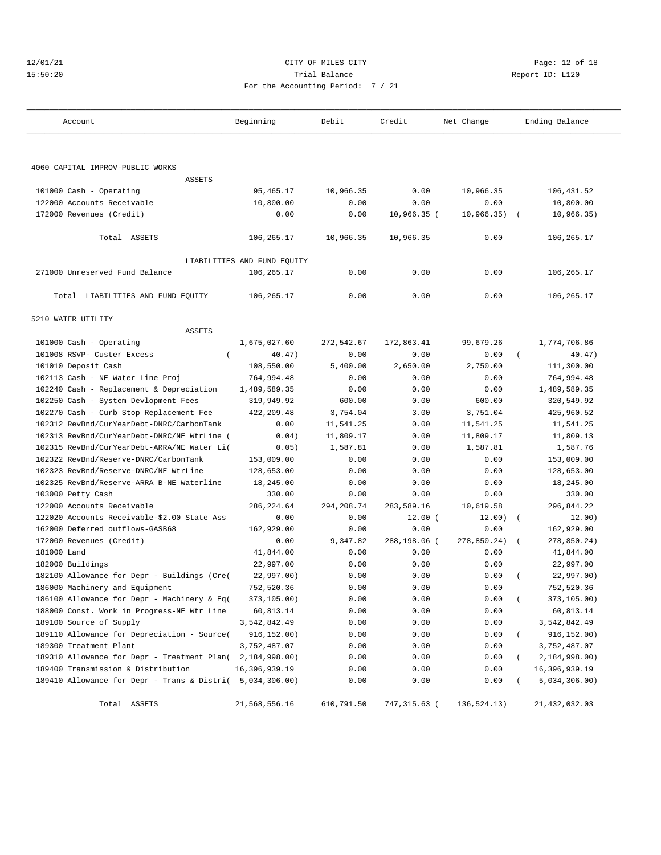|  |  |  | 12/01/21 |  |
|--|--|--|----------|--|
|  |  |  | 15:50:20 |  |

## CITY OF MILES CITY CONTROL CONTROL CONTROL CONTROL CITY 15:50:20 Report ID: L120 For the Accounting Period: 7 / 21

| Account                                                     | Beginning                   | Debit      | Credit       | Net Change  | Ending Balance          |  |
|-------------------------------------------------------------|-----------------------------|------------|--------------|-------------|-------------------------|--|
|                                                             |                             |            |              |             |                         |  |
| 4060 CAPITAL IMPROV-PUBLIC WORKS                            |                             |            |              |             |                         |  |
| <b>ASSETS</b>                                               |                             |            |              |             |                         |  |
| 101000 Cash - Operating                                     | 95, 465.17                  | 10,966.35  | 0.00         | 10,966.35   | 106,431.52              |  |
| 122000 Accounts Receivable                                  | 10,800.00                   | 0.00       | 0.00         | 0.00        | 10,800.00               |  |
| 172000 Revenues (Credit)                                    | 0.00                        | 0.00       | 10,966.35 (  | 10,966.35)  | 10,966.35)              |  |
| Total ASSETS                                                | 106,265.17                  | 10,966.35  | 10,966.35    | 0.00        | 106, 265.17             |  |
|                                                             | LIABILITIES AND FUND EQUITY |            |              |             |                         |  |
| 271000 Unreserved Fund Balance                              | 106,265.17                  | 0.00       | 0.00         | 0.00        | 106,265.17              |  |
| Total LIABILITIES AND FUND EQUITY                           | 106,265.17                  | 0.00       | 0.00         | 0.00        | 106,265.17              |  |
| 5210 WATER UTILITY                                          |                             |            |              |             |                         |  |
| <b>ASSETS</b>                                               |                             |            |              |             |                         |  |
| 101000 Cash - Operating                                     | 1,675,027.60                | 272,542.67 | 172,863.41   | 99,679.26   | 1,774,706.86            |  |
| 101008 RSVP- Custer Excess<br>$\left($                      | 40.47)                      | 0.00       | 0.00         | 0.00        | 40.47)<br>$\left($      |  |
| 101010 Deposit Cash                                         | 108,550.00                  | 5,400.00   | 2,650.00     | 2,750.00    | 111,300.00              |  |
| 102113 Cash - NE Water Line Proj                            | 764,994.48                  | 0.00       | 0.00         | 0.00        | 764,994.48              |  |
| 102240 Cash - Replacement & Depreciation                    | 1,489,589.35                | 0.00       | 0.00         | 0.00        | 1,489,589.35            |  |
| 102250 Cash - System Devlopment Fees                        | 319,949.92                  | 600.00     | 0.00         | 600.00      | 320,549.92              |  |
| 102270 Cash - Curb Stop Replacement Fee                     | 422, 209.48                 | 3,754.04   | 3.00         | 3,751.04    | 425,960.52              |  |
| 102312 RevBnd/CurYearDebt-DNRC/CarbonTank                   | 0.00                        | 11,541.25  | 0.00         | 11,541.25   | 11,541.25               |  |
| 102313 RevBnd/CurYearDebt-DNRC/NE WtrLine (                 | 0.04)                       | 11,809.17  | 0.00         | 11,809.17   | 11,809.13               |  |
| 102315 RevBnd/CurYearDebt-ARRA/NE Water Li(                 | 0.05)                       | 1,587.81   | 0.00         | 1,587.81    | 1,587.76                |  |
| 102322 RevBnd/Reserve-DNRC/CarbonTank                       | 153,009.00                  | 0.00       | 0.00         | 0.00        | 153,009.00              |  |
| 102323 RevBnd/Reserve-DNRC/NE WtrLine                       | 128,653.00                  | 0.00       | 0.00         | 0.00        | 128,653.00              |  |
| 102325 RevBnd/Reserve-ARRA B-NE Waterline                   | 18,245.00                   | 0.00       | 0.00         | 0.00        | 18,245.00               |  |
| 103000 Petty Cash                                           | 330.00                      | 0.00       | 0.00         | 0.00        | 330.00                  |  |
| 122000 Accounts Receivable                                  | 286, 224.64                 | 294,208.74 | 283,589.16   | 10,619.58   | 296,844.22              |  |
| 122020 Accounts Receivable-\$2.00 State Ass                 | 0.00                        | 0.00       | 12.00(       | 12.00)      | 12.00)<br>$\left($      |  |
| 162000 Deferred outflows-GASB68                             | 162,929.00                  | 0.00       | 0.00         | 0.00        | 162,929.00              |  |
| 172000 Revenues (Credit)                                    | 0.00                        | 9,347.82   | 288,198.06 ( | 278,850.24) | 278,850.24)<br>$\left($ |  |
| 181000 Land                                                 | 41,844.00                   | 0.00       | 0.00         | 0.00        | 41,844.00               |  |
| 182000 Buildings                                            | 22,997.00                   | 0.00       | 0.00         | 0.00        | 22,997.00               |  |
| 182100 Allowance for Depr - Buildings (Cre(                 | 22,997.00)                  | 0.00       | 0.00         | 0.00        | 22,997.00)              |  |
| 186000 Machinery and Equipment                              | 752,520.36                  | 0.00       | 0.00         | 0.00        | 752,520.36              |  |
| 186100 Allowance for Depr - Machinery & Eq(                 | 373,105.00)                 | 0.00       | 0.00         | 0.00        | 373,105.00)<br>$\left($ |  |
| 188000 Const. Work in Progress-NE Wtr Line                  | 60,813.14                   | 0.00       | 0.00         | 0.00        | 60,813.14               |  |
| 189100 Source of Supply                                     | 3,542,842.49                | 0.00       | 0.00         | 0.00        | 3,542,842.49            |  |
| 189110 Allowance for Depreciation - Source(                 | 916, 152.00)                | 0.00       | 0.00         | 0.00        | 916,152.00)             |  |
| 189300 Treatment Plant                                      | 3,752,487.07                | 0.00       | 0.00         | 0.00        | 3,752,487.07            |  |
| 189310 Allowance for Depr - Treatment Plan( 2, 184, 998.00) |                             | 0.00       | 0.00         | 0.00        | 2,184,998.00)           |  |
| 189400 Transmission & Distribution                          | 16, 396, 939.19             | 0.00       | 0.00         | 0.00        | 16,396,939.19           |  |
| 189410 Allowance for Depr - Trans & Distri(                 | 5,034,306.00)               | 0.00       | 0.00         | 0.00        | 5,034,306.00)           |  |
| Total ASSETS                                                | 21,568,556.16               | 610,791.50 | 747,315.63 ( | 136,524.13) | 21,432,032.03           |  |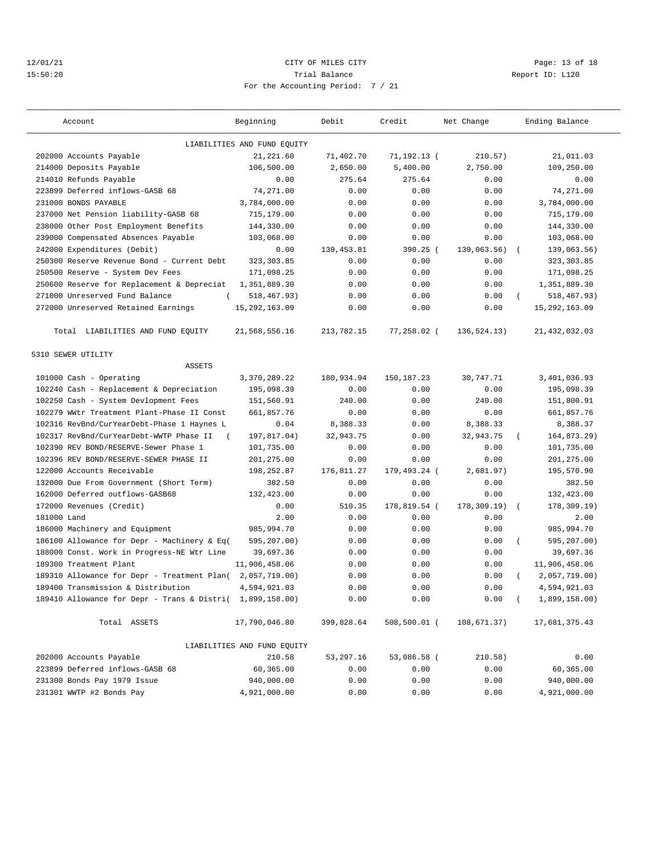## 12/01/21 Page: 13 of 18 15:50:20 Trial Balance Report ID: L120 For the Accounting Period: 7 / 21

| Account                                                   | Beginning                   | Debit       | Credit        | Net Change       | Ending Balance          |
|-----------------------------------------------------------|-----------------------------|-------------|---------------|------------------|-------------------------|
|                                                           | LIABILITIES AND FUND EQUITY |             |               |                  |                         |
| 202000 Accounts Payable                                   | 21, 221.60                  | 71,402.70   | 71,192.13 (   | 210.57)          | 21,011.03               |
| 214000 Deposits Payable                                   | 106,500.00                  | 2,650.00    | 5,400.00      | 2,750.00         | 109,250.00              |
| 214010 Refunds Payable                                    | 0.00                        | 275.64      | 275.64        | 0.00             | 0.00                    |
| 223899 Deferred inflows-GASB 68                           | 74,271.00                   | 0.00        | 0.00          | 0.00             | 74,271.00               |
| 231000 BONDS PAYABLE                                      | 3,784,000.00                | 0.00        | 0.00          | 0.00             | 3,784,000.00            |
| 237000 Net Pension liability-GASB 68                      | 715,179.00                  | 0.00        | 0.00          | 0.00             | 715,179.00              |
| 238000 Other Post Employment Benefits                     | 144,330.00                  | 0.00        | 0.00          | 0.00             | 144,330.00              |
| 239000 Compensated Absences Payable                       | 103,068.00                  | 0.00        | 0.00          | 0.00             | 103,068.00              |
| 242000 Expenditures (Debit)                               | 0.00                        | 139, 453.81 | $390.25$ (    | 139,063.56)      | 139,063.56)<br>$\left($ |
| 250300 Reserve Revenue Bond - Current Debt                | 323, 303.85                 | 0.00        | 0.00          | 0.00             | 323, 303.85             |
| 250500 Reserve - System Dev Fees                          | 171,098.25                  | 0.00        | 0.00          | 0.00             | 171,098.25              |
| 250600 Reserve for Replacement & Depreciat                | 1,351,889.30                | 0.00        | 0.00          | 0.00             | 1,351,889.30            |
| 271000 Unreserved Fund Balance                            | 518, 467.93)                | 0.00        | 0.00          | 0.00             | 518,467.93)<br>$\left($ |
| 272000 Unreserved Retained Earnings                       | 15, 292, 163.09             | 0.00        | 0.00          | 0.00             | 15, 292, 163.09         |
| Total LIABILITIES AND FUND EQUITY                         | 21,568,556.16               | 213,782.15  | $77,258.02$ ( | 136,524.13)      | 21, 432, 032.03         |
| 5310 SEWER UTILITY                                        |                             |             |               |                  |                         |
| <b>ASSETS</b>                                             |                             |             |               |                  |                         |
| 101000 Cash - Operating                                   | 3,370,289.22                | 180,934.94  | 150, 187. 23  | 30,747.71        | 3,401,036.93            |
| 102240 Cash - Replacement & Depreciation                  | 195,098.39                  | 0.00        | 0.00          | 0.00             | 195,098.39              |
| 102250 Cash - System Devlopment Fees                      | 151,560.91                  | 240.00      | 0.00          | 240.00           | 151,800.91              |
| 102279 WWtr Treatment Plant-Phase II Const                | 661,857.76                  | 0.00        | 0.00          | 0.00             | 661,857.76              |
| 102316 RevBnd/CurYearDebt-Phase 1 Haynes L                | 0.04                        | 8,388.33    | 0.00          | 8,388.33         | 8,388.37                |
| 102317 RevBnd/CurYearDebt-WWTP Phase II<br>$\left($       | 197,817.04)                 | 32,943.75   | 0.00          | 32,943.75        | 164,873.29)             |
| 102390 REV BOND/RESERVE-Sewer Phase 1                     | 101,735.00                  | 0.00        | 0.00          | 0.00             | 101,735.00              |
| 102396 REV BOND/RESERVE-SEWER PHASE II                    | 201,275.00                  | 0.00        | 0.00          | 0.00             | 201,275.00              |
| 122000 Accounts Receivable                                | 198,252.87                  | 176,811.27  | 179,493.24 (  | 2,681.97)        | 195,570.90              |
| 132000 Due From Government (Short Term)                   | 382.50                      | 0.00        | 0.00          | 0.00             | 382.50                  |
| 162000 Deferred outflows-GASB68                           | 132,423.00                  | 0.00        | 0.00          | 0.00             | 132,423.00              |
| 172000 Revenues (Credit)                                  | 0.00                        | 510.35      | 178,819.54 (  | $178, 309.19)$ ( | 178,309.19)             |
| 181000 Land                                               | 2.00                        | 0.00        | 0.00          | 0.00             | 2.00                    |
| 186000 Machinery and Equipment                            | 985,994.70                  | 0.00        | 0.00          | 0.00             | 985,994.70              |
| 186100 Allowance for Depr - Machinery & Eq(               | 595,207.00)                 | 0.00        | 0.00          | 0.00             | 595,207.00)<br>$\left($ |
| 188000 Const. Work in Progress-NE Wtr Line                | 39,697.36                   | 0.00        | 0.00          | 0.00             | 39,697.36               |
| 189300 Treatment Plant                                    | 11,906,458.06               | 0.00        | 0.00          | 0.00             | 11,906,458.06           |
| 189310 Allowance for Depr - Treatment Plan( 2,057,719.00) |                             | 0.00        | 0.00          | 0.00             | 2,057,719.00)           |
| 189400 Transmission & Distribution                        | 4,594,921.03                | 0.00        | 0.00          | 0.00             | 4,594,921.03            |
| 189410 Allowance for Depr - Trans & Distri( 1,899,158.00) |                             | 0.00        | 0.00          | 0.00             | 1,899,158.00)           |
| Total ASSETS                                              | 17,790,046.80               | 399,828.64  | 508,500.01 (  | 108,671.37)      | 17,681,375.43           |
|                                                           | LIABILITIES AND FUND EQUITY |             |               |                  |                         |
| 202000 Accounts Payable                                   | 210.58                      | 53,297.16   | 53,086.58 (   | 210.58)          | 0.00                    |
| 223899 Deferred inflows-GASB 68                           | 60,365.00                   | 0.00        | 0.00          | 0.00             | 60,365.00               |
| 231300 Bonds Pay 1979 Issue                               | 940,000.00                  | 0.00        | 0.00          | 0.00             | 940,000.00              |
| 231301 WWTP #2 Bonds Pay                                  | 4,921,000.00                | 0.00        | 0.00          | 0.00             | 4,921,000.00            |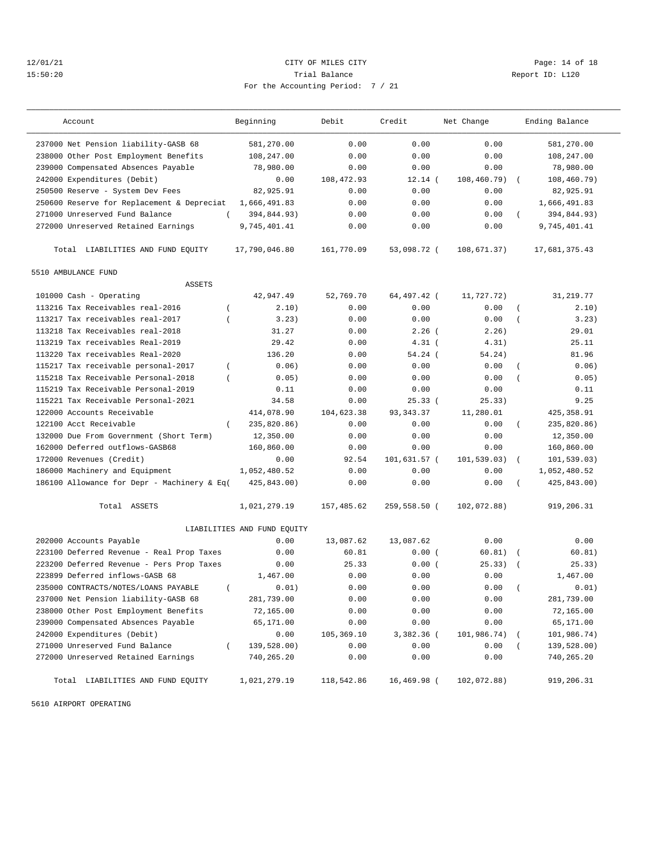## 12/01/21 Page: 14 of 18 15:50:20 Trial Balance Report ID: L120 For the Accounting Period: 7 / 21

| Account                                                 | Beginning                   | Debit      | Credit       | Net Change   |                  | Ending Balance |
|---------------------------------------------------------|-----------------------------|------------|--------------|--------------|------------------|----------------|
| 237000 Net Pension liability-GASB 68                    | 581,270.00                  | 0.00       | 0.00         | 0.00         |                  | 581,270.00     |
| 238000 Other Post Employment Benefits                   | 108,247.00                  | 0.00       | 0.00         | 0.00         |                  | 108,247.00     |
| 239000 Compensated Absences Payable                     | 78,980.00                   | 0.00       | 0.00         | 0.00         |                  | 78,980.00      |
| 242000 Expenditures (Debit)                             | 0.00                        | 108,472.93 | $12.14$ (    | 108, 460.79) | $\sqrt{ }$       | 108, 460.79)   |
| 250500 Reserve - System Dev Fees                        | 82,925.91                   | 0.00       | 0.00         | 0.00         |                  | 82,925.91      |
| 250600 Reserve for Replacement & Depreciat              | 1,666,491.83                | 0.00       | 0.00         | 0.00         |                  | 1,666,491.83   |
| 271000 Unreserved Fund Balance<br>$\left($              | 394,844.93)                 | 0.00       | 0.00         | 0.00         | $\left($         | 394,844.93)    |
| 272000 Unreserved Retained Earnings                     | 9,745,401.41                | 0.00       | 0.00         | 0.00         |                  | 9,745,401.41   |
| Total LIABILITIES AND FUND EQUITY                       | 17,790,046.80               | 161,770.09 | 53,098.72 (  | 108,671.37)  |                  | 17,681,375.43  |
| 5510 AMBULANCE FUND                                     |                             |            |              |              |                  |                |
| <b>ASSETS</b>                                           |                             |            |              |              |                  |                |
| 101000 Cash - Operating                                 | 42,947.49                   | 52,769.70  | 64,497.42 (  | 11,727.72)   |                  | 31,219.77      |
| 113216 Tax Receivables real-2016<br>$\left($            | 2.10)                       | 0.00       | 0.00         | 0.00         | $\left($         | 2.10)          |
| 113217 Tax receivables real-2017<br>$\overline{ }$      | 3.23)                       | 0.00       | 0.00         | 0.00         | $\overline{(\ }$ | 3.23)          |
| 113218 Tax Receivables real-2018                        | 31.27                       | 0.00       | $2.26$ (     | 2.26)        |                  | 29.01          |
| 113219 Tax receivables Real-2019                        | 29.42                       | 0.00       | $4.31$ (     | 4.31)        |                  | 25.11          |
| 113220 Tax receivables Real-2020                        | 136.20                      | 0.00       | 54.24(       | 54.24)       |                  | 81.96          |
| 115217 Tax receivable personal-2017<br>$\left($         | 0.06)                       | 0.00       | 0.00         | 0.00         | $\left($         | 0.06)          |
| 115218 Tax Receivable Personal-2018<br>$\overline{(\ }$ | 0.05)                       | 0.00       | 0.00         | 0.00         | $\overline{(\ }$ | 0.05)          |
| 115219 Tax Receivable Personal-2019                     | 0.11                        | 0.00       | 0.00         | 0.00         |                  | 0.11           |
| 115221 Tax Receivable Personal-2021                     | 34.58                       | 0.00       | 25.33(       | 25.33)       |                  | 9.25           |
| 122000 Accounts Receivable                              | 414,078.90                  | 104,623.38 | 93, 343, 37  | 11,280.01    |                  | 425, 358.91    |
| 122100 Acct Receivable<br>$\left($                      | 235,820.86)                 | 0.00       | 0.00         | 0.00         | $\left($         | 235,820.86)    |
| 132000 Due From Government (Short Term)                 | 12,350.00                   | 0.00       | 0.00         | 0.00         |                  | 12,350.00      |
| 162000 Deferred outflows-GASB68                         | 160,860.00                  | 0.00       | 0.00         | 0.00         |                  | 160,860.00     |
| 172000 Revenues (Credit)                                | 0.00                        | 92.54      | 101,631.57 ( | 101,539.03)  | $\left($         | 101,539.03)    |
| 186000 Machinery and Equipment                          | 1,052,480.52                | 0.00       | 0.00         | 0.00         |                  | 1,052,480.52   |
| 186100 Allowance for Depr - Machinery & Eq(             | 425,843.00)                 | 0.00       | 0.00         | 0.00         | $\left($         | 425,843.00)    |
| Total ASSETS                                            | 1,021,279.19                | 157,485.62 | 259,558.50 ( | 102,072.88)  |                  | 919,206.31     |
|                                                         | LIABILITIES AND FUND EQUITY |            |              |              |                  |                |
| 202000 Accounts Payable                                 | 0.00                        | 13,087.62  | 13,087.62    | 0.00         |                  | 0.00           |
| 223100 Deferred Revenue - Real Prop Taxes               | 0.00                        | 60.81      | 0.00(        | 60.81)       | $\sqrt{ }$       | 60.81)         |
| 223200 Deferred Revenue - Pers Prop Taxes               | 0.00                        | 25.33      | 0.00(        | 25.33)       |                  | 25.33)         |
| 223899 Deferred inflows-GASB 68                         | 1,467.00                    | 0.00       | 0.00         | 0.00         |                  | 1,467.00       |
| 235000 CONTRACTS/NOTES/LOANS PAYABLE<br>$\left($        | 0.01)                       | 0.00       | 0.00         | 0.00         |                  | 0.01)          |
| 237000 Net Pension liability-GASB 68                    | 281,739.00                  | 0.00       | 0.00         | 0.00         |                  | 281,739.00     |
| 238000 Other Post Employment Benefits                   | 72,165.00                   | 0.00       | 0.00         | 0.00         |                  | 72,165.00      |
| 239000 Compensated Absences Payable                     | 65,171.00                   | 0.00       | 0.00         | 0.00         |                  | 65,171.00      |
| 242000 Expenditures (Debit)                             | 0.00                        | 105,369.10 | 3,382.36 (   | 101,986.74)  |                  | 101,986.74)    |
| 271000 Unreserved Fund Balance<br>$\left($              | 139,528.00)                 | 0.00       | 0.00         | 0.00         |                  | 139,528.00)    |
| 272000 Unreserved Retained Earnings                     | 740,265.20                  | 0.00       | 0.00         | 0.00         |                  | 740,265.20     |
| Total LIABILITIES AND FUND EQUITY                       | 1,021,279.19                | 118,542.86 | 16,469.98 (  | 102,072.88)  |                  | 919,206.31     |

5610 AIRPORT OPERATING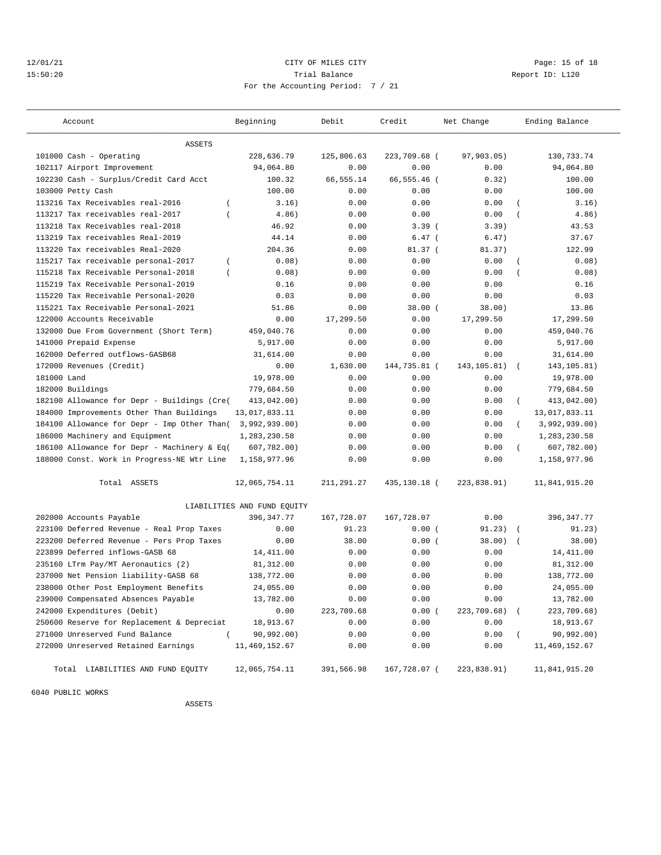## 12/01/21 Page: 15 of 18 15:50:20 Trial Balance Report ID: L120 For the Accounting Period: 7 / 21

| -- |  |
|----|--|
|    |  |
|    |  |
|    |  |
|    |  |
|    |  |
|    |  |
|    |  |
|    |  |

| Account                                                 | Beginning                   | Debit      | Credit       | Net Change    | Ending Balance             |
|---------------------------------------------------------|-----------------------------|------------|--------------|---------------|----------------------------|
| <b>ASSETS</b>                                           |                             |            |              |               |                            |
| 101000 Cash - Operating                                 | 228,636.79                  | 125,806.63 | 223,709.68 ( | 97,903.05)    | 130,733.74                 |
| 102117 Airport Improvement                              | 94,064.80                   | 0.00       | 0.00         | 0.00          | 94,064.80                  |
| 102230 Cash - Surplus/Credit Card Acct                  | 100.32                      | 66,555.14  | 66,555.46 (  | 0.32)         | 100.00                     |
| 103000 Petty Cash                                       | 100.00                      | 0.00       | 0.00         | 0.00          | 100.00                     |
| 113216 Tax Receivables real-2016<br>$\left($            | 3.16)                       | 0.00       | 0.00         | 0.00          | 3.16)<br>$\overline{(\ }$  |
| 113217 Tax receivables real-2017<br>$\overline{ }$      | 4.86)                       | 0.00       | 0.00         | 0.00          | 4.86)                      |
| 113218 Tax Receivables real-2018                        | 46.92                       | 0.00       | 3.39(        | 3.39)         | 43.53                      |
| 113219 Tax receivables Real-2019                        | 44.14                       | 0.00       | $6.47$ (     | 6.47)         | 37.67                      |
| 113220 Tax receivables Real-2020                        | 204.36                      | 0.00       | $81.37$ (    | 81.37)        | 122.99                     |
| 115217 Tax receivable personal-2017<br>$\overline{(\ }$ | 0.08)                       | 0.00       | 0.00         | 0.00          | 0.08)<br>$\overline{(\ }$  |
| 115218 Tax Receivable Personal-2018<br>$\overline{(\ }$ | 0.08)                       | 0.00       | 0.00         | 0.00          | 0.08)                      |
| 115219 Tax Receivable Personal-2019                     | 0.16                        | 0.00       | 0.00         | 0.00          | 0.16                       |
| 115220 Tax Receivable Personal-2020                     | 0.03                        | 0.00       | 0.00         | 0.00          | 0.03                       |
| 115221 Tax Receivable Personal-2021                     | 51.86                       | 0.00       | 38.00(       | 38.00)        | 13.86                      |
| 122000 Accounts Receivable                              | 0.00                        | 17,299.50  | 0.00         | 17,299.50     | 17,299.50                  |
| 132000 Due From Government (Short Term)                 | 459,040.76                  | 0.00       | 0.00         | 0.00          | 459,040.76                 |
| 141000 Prepaid Expense                                  | 5,917.00                    | 0.00       | 0.00         | 0.00          | 5,917.00                   |
| 162000 Deferred outflows-GASB68                         | 31,614.00                   | 0.00       | 0.00         | 0.00          | 31,614.00                  |
| 172000 Revenues (Credit)                                | 0.00                        | 1,630.00   | 144,735.81 ( | 143, 105.81)  | 143, 105.81)<br>$\sqrt{2}$ |
| 181000 Land                                             | 19,978.00                   | 0.00       | 0.00         | 0.00          | 19,978.00                  |
| 182000 Buildings                                        | 779,684.50                  | 0.00       | 0.00         | 0.00          | 779,684.50                 |
| 182100 Allowance for Depr - Buildings (Cre(             | 413,042.00)                 | 0.00       | 0.00         | 0.00          | 413,042.00)<br>$\left($    |
| 184000 Improvements Other Than Buildings                | 13,017,833.11               | 0.00       | 0.00         | 0.00          | 13,017,833.11              |
| 184100 Allowance for Depr - Imp Other Than(             | 3,992,939.00)               | 0.00       | 0.00         | 0.00          | 3,992,939.00)              |
| 186000 Machinery and Equipment                          | 1,283,230.58                | 0.00       | 0.00         | 0.00          | 1,283,230.58               |
| 186100 Allowance for Depr - Machinery & Eq(             | 607,782.00)                 | 0.00       | 0.00         | 0.00          | 607,782.00)<br>$\left($    |
| 188000 Const. Work in Progress-NE Wtr Line              | 1,158,977.96                | 0.00       | 0.00         | 0.00          | 1,158,977.96               |
| Total ASSETS                                            | 12,065,754.11               | 211,291.27 | 435,130.18 ( | 223,838.91)   | 11,841,915.20              |
|                                                         | LIABILITIES AND FUND EQUITY |            |              |               |                            |
| 202000 Accounts Payable                                 | 396, 347. 77                | 167,728.07 | 167,728.07   | 0.00          | 396, 347.77                |
| 223100 Deferred Revenue - Real Prop Taxes               | 0.00                        | 91.23      | 0.00(        | 91.23)        | 91.23)<br>$\sqrt{ }$       |
| 223200 Deferred Revenue - Pers Prop Taxes               | 0.00                        | 38.00      | 0.00(        | 38.00)        | 38.00)<br>$\sqrt{2}$       |
| 223899 Deferred inflows-GASB 68                         | 14, 411.00                  | 0.00       | 0.00         | 0.00          | 14,411.00                  |
| 235160 LTrm Pay/MT Aeronautics (2)                      | 81,312.00                   | 0.00       | 0.00         | 0.00          | 81,312.00                  |
| 237000 Net Pension liability-GASB 68                    | 138,772.00                  | 0.00       | 0.00         | 0.00          | 138,772.00                 |
| 238000 Other Post Employment Benefits                   | 24,055.00                   | 0.00       | 0.00         | 0.00          | 24,055.00                  |
| 239000 Compensated Absences Payable                     | 13,782.00                   | 0.00       | 0.00         | 0.00          | 13,782.00                  |
| 242000 Expenditures (Debit)                             | 0.00                        | 223,709.68 | 0.00(        | 223,709.68) ( | 223,709.68)                |
| 250600 Reserve for Replacement & Depreciat              | 18,913.67                   | 0.00       | 0.00         | 0.00          | 18,913.67                  |
| 271000 Unreserved Fund Balance                          | 90,992.00)                  | 0.00       | 0.00         | 0.00          | 90,992.00)                 |
| 272000 Unreserved Retained Earnings                     | 11, 469, 152.67             | 0.00       | 0.00         | 0.00          | 11, 469, 152.67            |
| Total LIABILITIES AND FUND EQUITY                       | 12,065,754.11               | 391,566.98 | 167,728.07 ( | 223,838.91)   | 11,841,915.20              |

6040 PUBLIC WORKS

ASSETS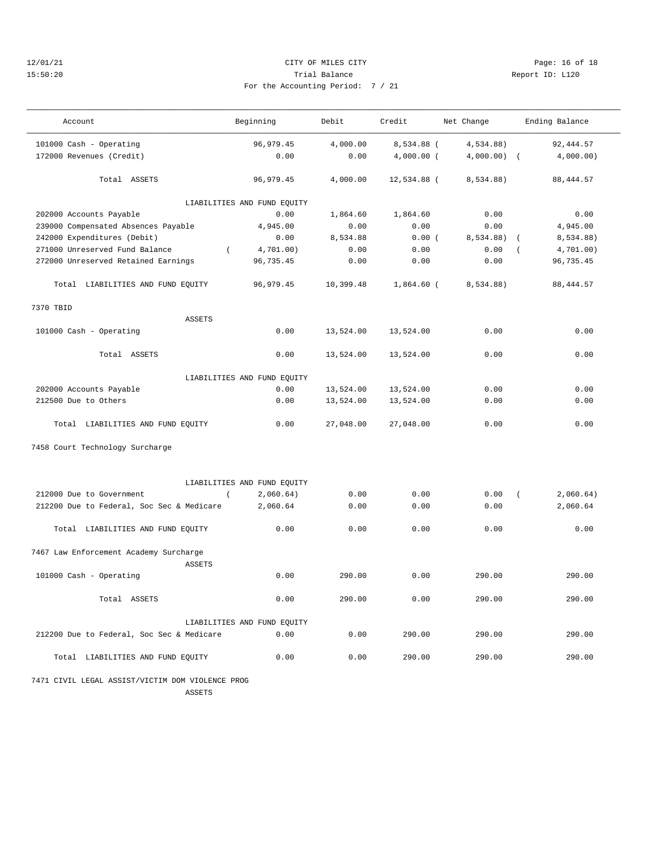## 12/01/21 Page: 16 of 18 15:50:20 Trial Balance Report ID: L120 For the Accounting Period: 7 / 21

| $\sim$ $\sim$ |  |  |  |
|---------------|--|--|--|

| Account                                                 | Beginning                   | Debit     | Credit       | Net Change | Ending Balance          |  |
|---------------------------------------------------------|-----------------------------|-----------|--------------|------------|-------------------------|--|
| 101000 Cash - Operating                                 | 96, 979.45                  | 4,000.00  | 8,534.88 (   | 4,534.88)  | 92,444.57               |  |
| 172000 Revenues (Credit)                                | 0.00                        | 0.00      | $4,000.00$ ( | 4,000.00)  | 4,000.00)<br>$\sqrt{ }$ |  |
| Total ASSETS                                            | 96,979.45                   | 4,000.00  | 12,534.88 (  | 8,534.88)  | 88, 444.57              |  |
|                                                         | LIABILITIES AND FUND EQUITY |           |              |            |                         |  |
| 202000 Accounts Payable                                 | 0.00                        | 1,864.60  | 1,864.60     | 0.00       | 0.00                    |  |
| 239000 Compensated Absences Payable                     | 4,945.00                    | 0.00      | 0.00         | 0.00       | 4,945.00                |  |
| 242000 Expenditures (Debit)                             | 0.00                        | 8,534.88  | 0.00(        | 8,534.88)  | 8,534.88)               |  |
| 271000 Unreserved Fund Balance<br>$\left($              | 4,701.00)                   | 0.00      | 0.00         | 0.00       | 4,701.00)               |  |
| 272000 Unreserved Retained Earnings                     | 96,735.45                   | 0.00      | 0.00         | 0.00       | 96,735.45               |  |
| Total LIABILITIES AND FUND EQUITY                       | 96, 979.45                  | 10,399.48 | $1,864.60$ ( | 8,534.88)  | 88, 444.57              |  |
| 7370 TBID                                               |                             |           |              |            |                         |  |
| <b>ASSETS</b>                                           |                             |           |              |            |                         |  |
| 101000 Cash - Operating                                 | 0.00                        | 13,524.00 | 13,524.00    | 0.00       | 0.00                    |  |
| Total ASSETS                                            | 0.00                        | 13,524.00 | 13,524.00    | 0.00       | 0.00                    |  |
| LIABILITIES AND FUND EQUITY                             |                             |           |              |            |                         |  |
| 202000 Accounts Payable                                 | 0.00                        | 13,524.00 | 13,524.00    | 0.00       | 0.00                    |  |
| 212500 Due to Others                                    | 0.00                        | 13,524.00 | 13,524.00    | 0.00       | 0.00                    |  |
| Total LIABILITIES AND FUND EQUITY                       | 0.00                        | 27,048.00 | 27,048.00    | 0.00       | 0.00                    |  |
| 7458 Court Technology Surcharge                         |                             |           |              |            |                         |  |
|                                                         | LIABILITIES AND FUND EQUITY |           |              |            |                         |  |
| 212000 Due to Government<br>$\left($                    | 2,060.64)                   | 0.00      | 0.00         | 0.00       | 2,060.64)<br>$\left($   |  |
| 212200 Due to Federal, Soc Sec & Medicare               | 2,060.64                    | 0.00      | 0.00         | 0.00       | 2,060.64                |  |
| Total LIABILITIES AND FUND EQUITY                       | 0.00                        | 0.00      | 0.00         | 0.00       | 0.00                    |  |
| 7467 Law Enforcement Academy Surcharge<br><b>ASSETS</b> |                             |           |              |            |                         |  |
| 101000 Cash - Operating                                 | 0.00                        | 290.00    | 0.00         | 290.00     | 290.00                  |  |
| Total ASSETS                                            | 0.00                        | 290.00    | 0.00         | 290.00     | 290.00                  |  |
| LIABILITIES AND FUND EQUITY                             |                             |           |              |            |                         |  |
| 212200 Due to Federal, Soc Sec & Medicare               | 0.00                        | 0.00      | 290.00       | 290.00     | 290.00                  |  |
| Total LIABILITIES AND FUND EQUITY                       | 0.00                        | 0.00      | 290.00       | 290.00     | 290.00                  |  |

 7471 CIVIL LEGAL ASSIST/VICTIM DOM VIOLENCE PROG ASSETS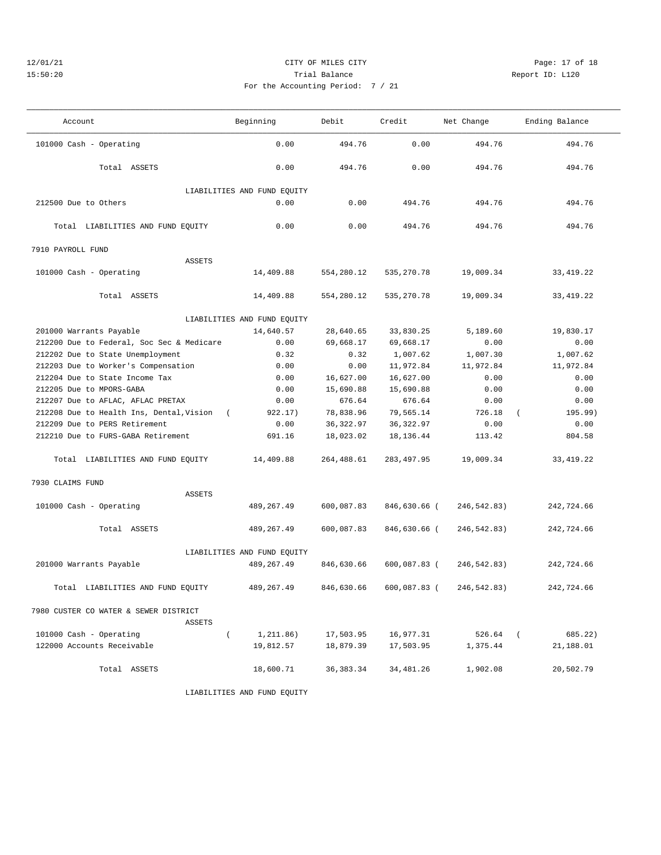## 12/01/21 **CITY OF MILES CITY CITY CITY PAGE:** 17 of 18 15:50:20 Trial Balance Report ID: L120 For the Accounting Period: 7 / 21

| Account                                   | Beginning                           | Debit<br>Credit |                | Net Change  | Ending Balance        |  |  |
|-------------------------------------------|-------------------------------------|-----------------|----------------|-------------|-----------------------|--|--|
| 101000 Cash - Operating                   | 0.00                                | 494.76          | 0.00           | 494.76      | 494.76                |  |  |
| Total ASSETS                              | 0.00                                | 494.76          | 0.00           | 494.76      | 494.76                |  |  |
| 212500 Due to Others                      | LIABILITIES AND FUND EQUITY<br>0.00 | 0.00            | 494.76         | 494.76      | 494.76                |  |  |
| Total LIABILITIES AND FUND EQUITY         | 0.00                                | 0.00            | 494.76         | 494.76      | 494.76                |  |  |
| 7910 PAYROLL FUND                         |                                     |                 |                |             |                       |  |  |
| <b>ASSETS</b>                             |                                     |                 |                |             |                       |  |  |
| 101000 Cash - Operating                   | 14,409.88                           | 554,280.12      | 535, 270.78    | 19,009.34   | 33, 419. 22           |  |  |
| Total ASSETS                              | 14,409.88                           | 554,280.12      | 535, 270.78    | 19,009.34   | 33, 419. 22           |  |  |
|                                           | LIABILITIES AND FUND EQUITY         |                 |                |             |                       |  |  |
| 201000 Warrants Payable                   | 14,640.57                           | 28,640.65       | 33,830.25      | 5,189.60    | 19,830.17             |  |  |
| 212200 Due to Federal, Soc Sec & Medicare | 0.00                                | 69,668.17       | 69,668.17      | 0.00        | 0.00                  |  |  |
| 212202 Due to State Unemployment          | 0.32                                | 0.32            | 1,007.62       | 1,007.30    | 1,007.62              |  |  |
| 212203 Due to Worker's Compensation       | 0.00                                | 0.00            | 11,972.84      | 11,972.84   | 11,972.84             |  |  |
| 212204 Due to State Income Tax            | 0.00                                | 16,627.00       | 16,627.00      | 0.00        | 0.00                  |  |  |
| 212205 Due to MPORS-GABA                  | 0.00                                | 15,690.88       | 15,690.88      | 0.00        | 0.00                  |  |  |
| 212207 Due to AFLAC, AFLAC PRETAX         | 0.00                                | 676.64          | 676.64         | 0.00        | 0.00                  |  |  |
| 212208 Due to Health Ins, Dental, Vision  | 922.17)<br>$\sqrt{2}$               | 78,838.96       | 79,565.14      | 726.18      | 195.99)<br>$\left($   |  |  |
| 212209 Due to PERS Retirement             | 0.00                                | 36, 322.97      | 36, 322.97     | 0.00        | 0.00                  |  |  |
| 212210 Due to FURS-GABA Retirement        | 691.16                              | 18,023.02       | 18, 136. 44    | 113.42      | 804.58                |  |  |
| Total LIABILITIES AND FUND EQUITY         | 14,409.88                           | 264,488.61      | 283, 497.95    | 19,009.34   | 33, 419. 22           |  |  |
| 7930 CLAIMS FUND                          |                                     |                 |                |             |                       |  |  |
| <b>ASSETS</b>                             |                                     |                 |                |             |                       |  |  |
| 101000 Cash - Operating                   | 489,267.49                          | 600,087.83      | 846,630.66 (   | 246,542.83) | 242,724.66            |  |  |
| Total ASSETS                              | 489,267.49                          | 600,087.83      | 846,630.66 (   | 246,542.83) | 242,724.66            |  |  |
| LIABILITIES AND FUND EQUITY               |                                     |                 |                |             |                       |  |  |
| 201000 Warrants Payable                   | 489,267.49                          | 846,630.66      | $600,087.83$ ( | 246,542.83) | 242,724.66            |  |  |
| Total LIABILITIES AND FUND EQUITY         | 489, 267.49                         | 846,630.66      | 600,087.83 (   | 246,542.83) | 242,724.66            |  |  |
| 7980 CUSTER CO WATER & SEWER DISTRICT     |                                     |                 |                |             |                       |  |  |
| ASSETS                                    |                                     |                 |                |             |                       |  |  |
| 101000 Cash - Operating                   | $\left($<br>1,211.86)               | 17,503.95       | 16,977.31      | 526.64      | $\sqrt{2}$<br>685.22) |  |  |
| 122000 Accounts Receivable                | 19,812.57                           | 18,879.39       | 17,503.95      | 1,375.44    | 21,188.01             |  |  |
| Total ASSETS                              | 18,600.71                           | 36, 383. 34     | 34,481.26      | 1,902.08    | 20,502.79             |  |  |

LIABILITIES AND FUND EQUITY